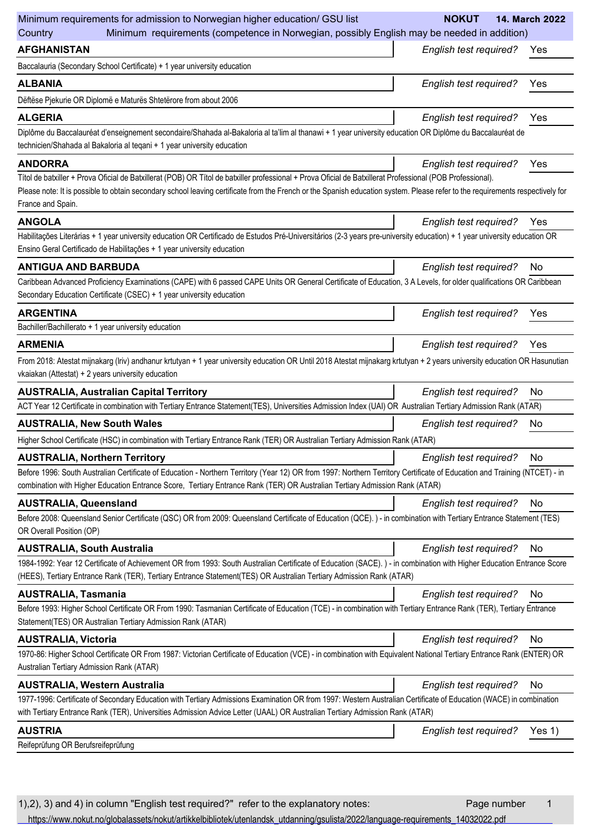| Minimum requirements for admission to Norwegian higher education/ GSU list                                                                                                                                                                                                                                                                                       | <b>NOKUT</b><br>14. March 2022          |
|------------------------------------------------------------------------------------------------------------------------------------------------------------------------------------------------------------------------------------------------------------------------------------------------------------------------------------------------------------------|-----------------------------------------|
| Minimum requirements (competence in Norwegian, possibly English may be needed in addition)<br>Country                                                                                                                                                                                                                                                            |                                         |
| <b>AFGHANISTAN</b>                                                                                                                                                                                                                                                                                                                                               | <b>English test required?</b><br>Yes    |
| Baccalauria (Secondary School Certificate) + 1 year university education                                                                                                                                                                                                                                                                                         |                                         |
| <b>ALBANIA</b>                                                                                                                                                                                                                                                                                                                                                   | <b>English test required?</b><br>Yes    |
| Dëftëse Pjekurie OR Diplomë e Maturës Shtetërore from about 2006                                                                                                                                                                                                                                                                                                 |                                         |
| <b>ALGERIA</b>                                                                                                                                                                                                                                                                                                                                                   | <b>English test required?</b><br>Yes    |
| Diplôme du Baccalauréat d'enseignement secondaire/Shahada al-Bakaloria al ta'lim al thanawi + 1 year university education OR Diplôme du Baccalauréat de<br>technicien/Shahada al Bakaloria al tegani + 1 year university education                                                                                                                               |                                         |
| <b>ANDORRA</b>                                                                                                                                                                                                                                                                                                                                                   | English test required?<br>Yes           |
| Títol de batxiller + Prova Oficial de Batxillerat (POB) OR Títol de batxiller professional + Prova Oficial de Batxillerat Professional (POB Professional).<br>Please note: It is possible to obtain secondary school leaving certificate from the French or the Spanish education system. Please refer to the requirements respectively for<br>France and Spain. |                                         |
| <b>ANGOLA</b>                                                                                                                                                                                                                                                                                                                                                    | <b>English test required?</b><br>Yes    |
| Habilitações Literárias + 1 year university education OR Certificado de Estudos Pré-Universitários (2-3 years pre-university education) + 1 year university education OR<br>Ensino Geral Certificado de Habilitações + 1 year university education                                                                                                               |                                         |
| <b>ANTIGUA AND BARBUDA</b>                                                                                                                                                                                                                                                                                                                                       | <b>English test required?</b><br>No     |
| Caribbean Advanced Proficiency Examinations (CAPE) with 6 passed CAPE Units OR General Certificate of Education, 3 A Levels, for older qualifications OR Caribbean<br>Secondary Education Certificate (CSEC) + 1 year university education                                                                                                                       |                                         |
| <b>ARGENTINA</b>                                                                                                                                                                                                                                                                                                                                                 | <b>English test required?</b><br>Yes    |
| Bachiller/Bachillerato + 1 year university education                                                                                                                                                                                                                                                                                                             |                                         |
| <b>ARMENIA</b>                                                                                                                                                                                                                                                                                                                                                   | <b>English test required?</b><br>Yes    |
| From 2018: Atestat mijnakarg (Iriv) andhanur krtutyan + 1 year university education OR Until 2018 Atestat mijnakarg krtutyan + 2 years university education OR Hasunutian<br>vkaiakan (Attestat) + 2 years university education                                                                                                                                  |                                         |
| <b>AUSTRALIA, Australian Capital Territory</b>                                                                                                                                                                                                                                                                                                                   | <b>English test required?</b><br>No     |
| ACT Year 12 Certificate in combination with Tertiary Entrance Statement(TES), Universities Admission Index (UAI) OR Australian Tertiary Admission Rank (ATAR)                                                                                                                                                                                                    |                                         |
| <b>AUSTRALIA, New South Wales</b>                                                                                                                                                                                                                                                                                                                                | English test required?<br><b>No</b>     |
| Higher School Certificate (HSC) in combination with Tertiary Entrance Rank (TER) OR Australian Tertiary Admission Rank (ATAR)                                                                                                                                                                                                                                    |                                         |
| <b>AUSTRALIA, Northern Territory</b>                                                                                                                                                                                                                                                                                                                             | English test required?<br>No            |
| Before 1996: South Australian Certificate of Education - Northern Territory (Year 12) OR from 1997: Northern Territory Certificate of Education and Training (NTCET) - in<br>combination with Higher Education Entrance Score, Tertiary Entrance Rank (TER) OR Australian Tertiary Admission Rank (ATAR)                                                         |                                         |
| <b>AUSTRALIA, Queensland</b>                                                                                                                                                                                                                                                                                                                                     | English test required?<br>No.           |
| Before 2008: Queensland Senior Certificate (QSC) OR from 2009: Queensland Certificate of Education (QCE). ) - in combination with Tertiary Entrance Statement (TES)<br>OR Overall Position (OP)                                                                                                                                                                  |                                         |
| <b>AUSTRALIA, South Australia</b>                                                                                                                                                                                                                                                                                                                                | English test required?<br>No            |
| 1984-1992: Year 12 Certificate of Achievement OR from 1993: South Australian Certificate of Education (SACE). ) - in combination with Higher Education Entrance Score<br>(HEES), Tertiary Entrance Rank (TER), Tertiary Entrance Statement(TES) OR Australian Tertiary Admission Rank (ATAR)                                                                     |                                         |
| <b>AUSTRALIA, Tasmania</b>                                                                                                                                                                                                                                                                                                                                       | <b>English test required?</b><br>No     |
| Before 1993: Higher School Certificate OR From 1990: Tasmanian Certificate of Education (TCE) - in combination with Tertiary Entrance Rank (TER), Tertiary Entrance<br>Statement(TES) OR Australian Tertiary Admission Rank (ATAR)                                                                                                                               |                                         |
| <b>AUSTRALIA, Victoria</b>                                                                                                                                                                                                                                                                                                                                       | English test required?<br>No            |
| 1970-86: Higher School Certificate OR From 1987: Victorian Certificate of Education (VCE) - in combination with Equivalent National Tertiary Entrance Rank (ENTER) OR<br>Australian Tertiary Admission Rank (ATAR)                                                                                                                                               |                                         |
| <b>AUSTRALIA, Western Australia</b>                                                                                                                                                                                                                                                                                                                              | <b>English test required?</b><br>No     |
| 1977-1996: Certificate of Secondary Education with Tertiary Admissions Examination OR from 1997: Western Australian Certificate of Education (WACE) in combination<br>with Tertiary Entrance Rank (TER), Universities Admission Advice Letter (UAAL) OR Australian Tertiary Admission Rank (ATAR)                                                                |                                         |
| <b>AUSTRIA</b>                                                                                                                                                                                                                                                                                                                                                   | <b>English test required?</b><br>Yes 1) |
| Reifeprüfung OR Berufsreifeprüfung                                                                                                                                                                                                                                                                                                                               |                                         |
|                                                                                                                                                                                                                                                                                                                                                                  |                                         |

1),2), 3) and 4) in column "English test required?" refer to the explanatory notes: Page number 1 [https://www.nokut.no/globalassets/nokut/artikkelbibliotek/utenlandsk\\_utdanning/gsulista/2022/language-requirements\\_14032022.pdf](https://www.nokut.no/globalassets/nokut/artikkelbibliotek/utenlandsk_utdanning/gsulista/2022/language-requirements_14032022.pdf)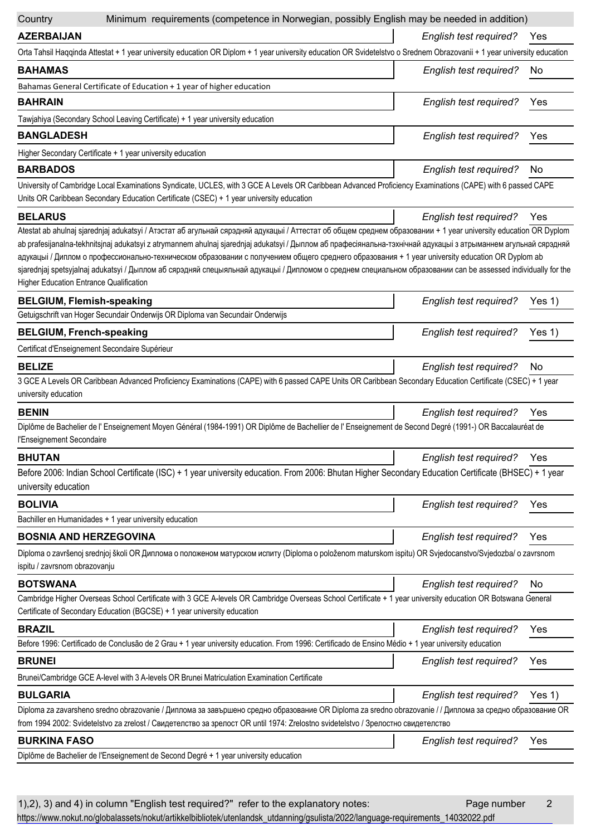| Minimum requirements (competence in Norwegian, possibly English may be needed in addition)<br>Country                                                                                                                                                                                                                                                                                                                                                                                                                                                                                                                                                                                                    |                               |          |
|----------------------------------------------------------------------------------------------------------------------------------------------------------------------------------------------------------------------------------------------------------------------------------------------------------------------------------------------------------------------------------------------------------------------------------------------------------------------------------------------------------------------------------------------------------------------------------------------------------------------------------------------------------------------------------------------------------|-------------------------------|----------|
| <b>AZERBAIJAN</b>                                                                                                                                                                                                                                                                                                                                                                                                                                                                                                                                                                                                                                                                                        | <b>English test required?</b> | Yes      |
| Orta Tahsil Haqqinda Attestat + 1 year university education OR Diplom + 1 year university education OR Svidetelstvo o Srednem Obrazovanii + 1 year university education                                                                                                                                                                                                                                                                                                                                                                                                                                                                                                                                  |                               |          |
| <b>BAHAMAS</b>                                                                                                                                                                                                                                                                                                                                                                                                                                                                                                                                                                                                                                                                                           | English test required?        | No.      |
| Bahamas General Certificate of Education + 1 year of higher education                                                                                                                                                                                                                                                                                                                                                                                                                                                                                                                                                                                                                                    |                               |          |
| <b>BAHRAIN</b>                                                                                                                                                                                                                                                                                                                                                                                                                                                                                                                                                                                                                                                                                           | English test required?        | Yes      |
| Tawjahiya (Secondary School Leaving Certificate) + 1 year university education                                                                                                                                                                                                                                                                                                                                                                                                                                                                                                                                                                                                                           |                               |          |
| <b>BANGLADESH</b>                                                                                                                                                                                                                                                                                                                                                                                                                                                                                                                                                                                                                                                                                        | English test required?        | Yes      |
| Higher Secondary Certificate + 1 year university education                                                                                                                                                                                                                                                                                                                                                                                                                                                                                                                                                                                                                                               |                               |          |
| <b>BARBADOS</b>                                                                                                                                                                                                                                                                                                                                                                                                                                                                                                                                                                                                                                                                                          | English test required?        | No       |
| University of Cambridge Local Examinations Syndicate, UCLES, with 3 GCE A Levels OR Caribbean Advanced Proficiency Examinations (CAPE) with 6 passed CAPE<br>Units OR Caribbean Secondary Education Certificate (CSEC) + 1 year university education                                                                                                                                                                                                                                                                                                                                                                                                                                                     |                               |          |
| <b>BELARUS</b>                                                                                                                                                                                                                                                                                                                                                                                                                                                                                                                                                                                                                                                                                           | English test required?        | Yes      |
| Atestat ab ahulnaj sjarednjaj adukatsyi / Атэстат аб агульнай сярэдняй адукацыі / Аттестат об общем среднем образовании + 1 year university education OR Dyplom<br>ab prafesijanalna-tekhnitsjnaj adukatsyi z atrymannem ahulnaj sjarednjaj adukatsyi / Дыплом аб прафесіянальна-тэхнічнай адукацыі з атрыманнем агульнай сярэдняй<br>адукацыі / Диплом о профессионально-техническом образовании с получением общего среднего образования + 1 year university education OR Dyplom ab<br>sjarednjaj spetsyjalnaj adukatsyi / Дыплом аб сярэдняй спецыяльнай адукацыі / Дипломом о среднем специальном образовании can be assessed individually for the<br><b>Higher Education Entrance Qualification</b> |                               |          |
| <b>BELGIUM, Flemish-speaking</b>                                                                                                                                                                                                                                                                                                                                                                                                                                                                                                                                                                                                                                                                         | English test required?        | Yes 1)   |
| Getuigschrift van Hoger Secundair Onderwijs OR Diploma van Secundair Onderwijs                                                                                                                                                                                                                                                                                                                                                                                                                                                                                                                                                                                                                           |                               |          |
| <b>BELGIUM, French-speaking</b>                                                                                                                                                                                                                                                                                                                                                                                                                                                                                                                                                                                                                                                                          | English test required?        | Yes $1)$ |
| Certificat d'Enseignement Secondaire Supérieur                                                                                                                                                                                                                                                                                                                                                                                                                                                                                                                                                                                                                                                           |                               |          |
| <b>BELIZE</b>                                                                                                                                                                                                                                                                                                                                                                                                                                                                                                                                                                                                                                                                                            | English test required?        | No       |
| 3 GCE A Levels OR Caribbean Advanced Proficiency Examinations (CAPE) with 6 passed CAPE Units OR Caribbean Secondary Education Certificate (CSEC) + 1 year<br>university education                                                                                                                                                                                                                                                                                                                                                                                                                                                                                                                       |                               |          |
| <b>BENIN</b>                                                                                                                                                                                                                                                                                                                                                                                                                                                                                                                                                                                                                                                                                             | English test required?        | Yes      |
| Diplôme de Bachelier de l'Enseignement Moyen Général (1984-1991) OR Diplôme de Bachellier de l'Enseignement de Second Degré (1991-) OR Baccalauréat de<br>l'Enseignement Secondaire                                                                                                                                                                                                                                                                                                                                                                                                                                                                                                                      |                               |          |
| <b>BHUTAN</b>                                                                                                                                                                                                                                                                                                                                                                                                                                                                                                                                                                                                                                                                                            | л.<br>English test required?  | Yes      |
| Before 2006: Indian School Certificate (ISC) + 1 year university education. From 2006: Bhutan Higher Secondary Education Certificate (BHSEC) + 1 year<br>university education                                                                                                                                                                                                                                                                                                                                                                                                                                                                                                                            |                               |          |
| <b>BOLIVIA</b>                                                                                                                                                                                                                                                                                                                                                                                                                                                                                                                                                                                                                                                                                           | English test required?        | Yes      |
| Bachiller en Humanidades + 1 year university education                                                                                                                                                                                                                                                                                                                                                                                                                                                                                                                                                                                                                                                   |                               |          |
| <b>BOSNIA AND HERZEGOVINA</b>                                                                                                                                                                                                                                                                                                                                                                                                                                                                                                                                                                                                                                                                            | English test required?        | Yes      |
| Diploma o završenoj srednjoj školi OR Диплома о положеном матурском испиту (Diploma o položenom maturskom ispitu) OR Svjedocanstvo/Svjedozba/ o zavrsnom<br>ispitu / zavrsnom obrazovanju                                                                                                                                                                                                                                                                                                                                                                                                                                                                                                                |                               |          |
| <b>BOTSWANA</b>                                                                                                                                                                                                                                                                                                                                                                                                                                                                                                                                                                                                                                                                                          | English test required?        | No       |
| Cambridge Higher Overseas School Certificate with 3 GCE A-levels OR Cambridge Overseas School Certificate + 1 year university education OR Botswana General<br>Certificate of Secondary Education (BGCSE) + 1 year university education                                                                                                                                                                                                                                                                                                                                                                                                                                                                  |                               |          |
| <b>BRAZIL</b>                                                                                                                                                                                                                                                                                                                                                                                                                                                                                                                                                                                                                                                                                            | English test required?        | Yes      |
| Before 1996: Certificado de Conclusão de 2 Grau + 1 year university education. From 1996: Certificado de Ensino Médio + 1 year university education                                                                                                                                                                                                                                                                                                                                                                                                                                                                                                                                                      |                               |          |
| <b>BRUNEI</b>                                                                                                                                                                                                                                                                                                                                                                                                                                                                                                                                                                                                                                                                                            | <b>English test required?</b> | Yes      |
| Brunei/Cambridge GCE A-level with 3 A-levels OR Brunei Matriculation Examination Certificate                                                                                                                                                                                                                                                                                                                                                                                                                                                                                                                                                                                                             |                               |          |
| <b>BULGARIA</b>                                                                                                                                                                                                                                                                                                                                                                                                                                                                                                                                                                                                                                                                                          | English test required?        | Yes $1)$ |
| Diploma za zavarsheno sredno obrazovanie / Диплома за завършено средно образование OR Diploma za sredno obrazovanie / / Диплома за средно образование OR<br>from 1994 2002: Svidetelstvo za zrelost / Свидетелство за зрелост OR until 1974: Zrelostno svidetelstvo / Зрелостно свидетелство                                                                                                                                                                                                                                                                                                                                                                                                             |                               |          |
| <b>BURKINA FASO</b>                                                                                                                                                                                                                                                                                                                                                                                                                                                                                                                                                                                                                                                                                      | English test required?        | Yes      |
| Diplôme de Bachelier de l'Enseignement de Second Degré + 1 year university education                                                                                                                                                                                                                                                                                                                                                                                                                                                                                                                                                                                                                     |                               |          |
|                                                                                                                                                                                                                                                                                                                                                                                                                                                                                                                                                                                                                                                                                                          |                               |          |

1), 2), 3) and 4) in column "English test required?" refer to the explanatory notes: Page number 2 [https://www.nokut.no/globalassets/nokut/artikkelbibliotek/utenlandsk\\_utdanning/gsulista/2022/language-requirements\\_14032022.pdf](https://www.nokut.no/globalassets/nokut/artikkelbibliotek/utenlandsk_utdanning/gsulista/2022/language-requirements_14032022.pdf)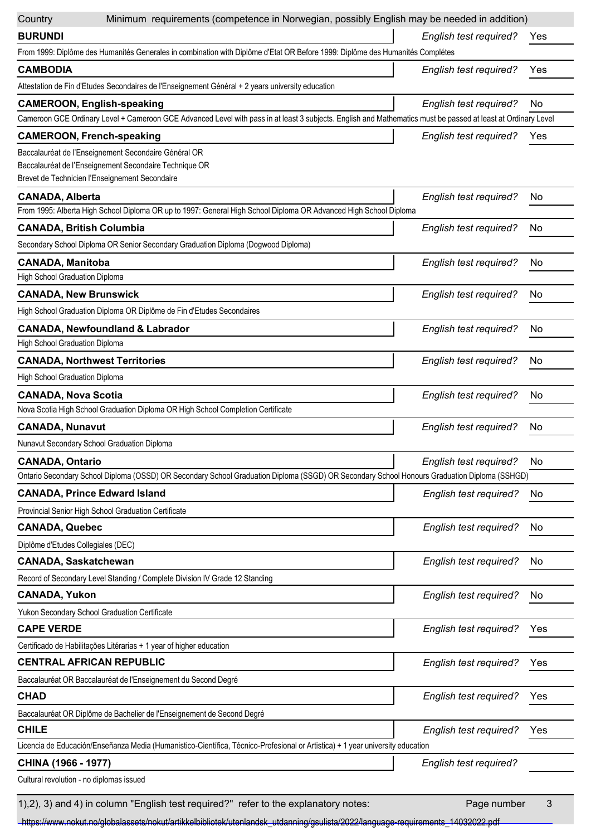| Country                                                   | Minimum requirements (competence in Norwegian, possibly English may be needed in addition)                                                                    |                               |           |
|-----------------------------------------------------------|---------------------------------------------------------------------------------------------------------------------------------------------------------------|-------------------------------|-----------|
| <b>BURUNDI</b>                                            |                                                                                                                                                               | English test required?        | Yes       |
|                                                           | From 1999: Diplôme des Humanités Generales in combination with Diplôme d'Etat OR Before 1999: Diplôme des Humanités Complétes                                 |                               |           |
| <b>CAMBODIA</b>                                           |                                                                                                                                                               | English test required?        | Yes       |
|                                                           | Attestation de Fin d'Etudes Secondaires de l'Enseignement Général + 2 years university education                                                              |                               |           |
|                                                           | <b>CAMEROON, English-speaking</b>                                                                                                                             | <b>English test required?</b> | No        |
|                                                           | Cameroon GCE Ordinary Level + Cameroon GCE Advanced Level with pass in at least 3 subjects. English and Mathematics must be passed at least at Ordinary Level |                               |           |
|                                                           | <b>CAMEROON, French-speaking</b>                                                                                                                              | English test required?        | Yes       |
|                                                           | Baccalauréat de l'Enseignement Secondaire Général OR                                                                                                          |                               |           |
|                                                           | Baccalauréat de l'Enseignement Secondaire Technique OR                                                                                                        |                               |           |
|                                                           | Brevet de Technicien l'Enseignement Secondaire                                                                                                                |                               |           |
| <b>CANADA, Alberta</b>                                    | From 1995: Alberta High School Diploma OR up to 1997: General High School Diploma OR Advanced High School Diploma                                             | English test required?        | No.       |
|                                                           |                                                                                                                                                               |                               | No        |
| <b>CANADA, British Columbia</b>                           | Secondary School Diploma OR Senior Secondary Graduation Diploma (Dogwood Diploma)                                                                             | English test required?        |           |
|                                                           |                                                                                                                                                               |                               |           |
| <b>CANADA, Manitoba</b><br>High School Graduation Diploma |                                                                                                                                                               | English test required?        | No        |
| <b>CANADA, New Brunswick</b>                              |                                                                                                                                                               | English test required?        | No        |
|                                                           | High School Graduation Diploma OR Diplôme de Fin d'Etudes Secondaires                                                                                         |                               |           |
|                                                           |                                                                                                                                                               |                               |           |
| High School Graduation Diploma                            | <b>CANADA, Newfoundland &amp; Labrador</b>                                                                                                                    | <b>English test required?</b> | No        |
|                                                           | <b>CANADA, Northwest Territories</b>                                                                                                                          | English test required?        | No        |
| High School Graduation Diploma                            |                                                                                                                                                               |                               |           |
|                                                           |                                                                                                                                                               |                               | No        |
| <b>CANADA, Nova Scotia</b>                                | Nova Scotia High School Graduation Diploma OR High School Completion Certificate                                                                              | <b>English test required?</b> |           |
| <b>CANADA, Nunavut</b>                                    |                                                                                                                                                               | English test required?        | No        |
|                                                           | Nunavut Secondary School Graduation Diploma                                                                                                                   |                               |           |
| <b>CANADA, Ontario</b>                                    |                                                                                                                                                               | <b>English test required?</b> | No        |
|                                                           | Ontario Secondary School Diploma (OSSD) OR Secondary School Graduation Diploma (SSGD) OR Secondary School Honours Graduation Diploma (SSHGD)                  |                               |           |
|                                                           | <b>CANADA, Prince Edward Island</b>                                                                                                                           | English test required?        | No        |
|                                                           | Provincial Senior High School Graduation Certificate                                                                                                          |                               |           |
| <b>CANADA, Quebec</b>                                     |                                                                                                                                                               | English test required?        | <b>No</b> |
| Diplôme d'Etudes Collegiales (DEC)                        |                                                                                                                                                               |                               |           |
| <b>CANADA, Saskatchewan</b>                               |                                                                                                                                                               | English test required?        | No        |
|                                                           | Record of Secondary Level Standing / Complete Division IV Grade 12 Standing                                                                                   |                               |           |
| <b>CANADA, Yukon</b>                                      |                                                                                                                                                               | English test required?        | No        |
|                                                           | Yukon Secondary School Graduation Certificate                                                                                                                 |                               |           |
| <b>CAPE VERDE</b>                                         |                                                                                                                                                               | English test required?        | Yes       |
|                                                           | Certificado de Habilitações Litérarias + 1 year of higher education                                                                                           |                               |           |
|                                                           | <b>CENTRAL AFRICAN REPUBLIC</b>                                                                                                                               | English test required?        | Yes       |
|                                                           | Baccalauréat OR Baccalauréat de l'Enseignement du Second Degré                                                                                                |                               |           |
| <b>CHAD</b>                                               |                                                                                                                                                               | English test required?        | Yes       |
|                                                           | Baccalauréat OR Diplôme de Bachelier de l'Enseignement de Second Degré                                                                                        |                               |           |
| <b>CHILE</b>                                              |                                                                                                                                                               | English test required?        | Yes       |
|                                                           | Licencia de Educación/Enseñanza Media (Humanistico-Científica, Técnico-Profesional or Artistica) + 1 year university education                                |                               |           |
| CHINA (1966 - 1977)                                       |                                                                                                                                                               | English test required?        |           |
| Cultural revolution - no diplomas issued                  |                                                                                                                                                               |                               |           |
|                                                           |                                                                                                                                                               |                               |           |

1),2), 3) and 4) in column "English test required?" refer to the explanatory notes: Page number 3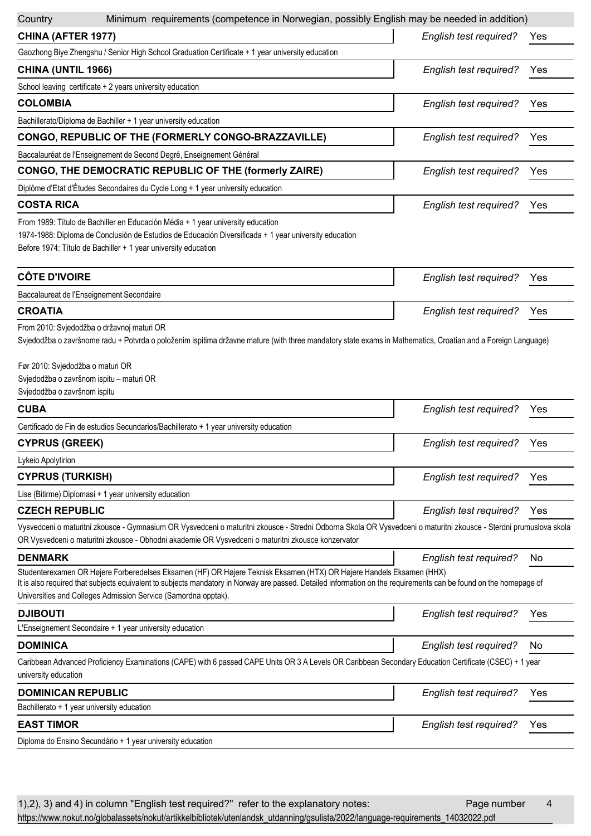| Minimum requirements (competence in Norwegian, possibly English may be needed in addition)<br>Country                                                                                                                                                                                                                                                       |                               |     |
|-------------------------------------------------------------------------------------------------------------------------------------------------------------------------------------------------------------------------------------------------------------------------------------------------------------------------------------------------------------|-------------------------------|-----|
| CHINA (AFTER 1977)                                                                                                                                                                                                                                                                                                                                          | <b>English test required?</b> | Yes |
| Gaozhong Biye Zhengshu / Senior High School Graduation Certificate + 1 year university education                                                                                                                                                                                                                                                            |                               |     |
| CHINA (UNTIL 1966)                                                                                                                                                                                                                                                                                                                                          | <b>English test required?</b> | Yes |
| School leaving certificate + 2 years university education                                                                                                                                                                                                                                                                                                   |                               |     |
| <b>COLOMBIA</b>                                                                                                                                                                                                                                                                                                                                             | English test required?        | Yes |
| Bachillerato/Diploma de Bachiller + 1 year university education                                                                                                                                                                                                                                                                                             |                               |     |
| CONGO, REPUBLIC OF THE (FORMERLY CONGO-BRAZZAVILLE)                                                                                                                                                                                                                                                                                                         | English test required?        | Yes |
| Baccalauréat de l'Enseignement de Second Degré, Enseignement Général                                                                                                                                                                                                                                                                                        |                               |     |
| <b>CONGO, THE DEMOCRATIC REPUBLIC OF THE (formerly ZAIRE)</b>                                                                                                                                                                                                                                                                                               | English test required?        | Yes |
| Diplôme d'Etat d'Études Secondaires du Cycle Long + 1 year university education                                                                                                                                                                                                                                                                             |                               |     |
| <b>COSTA RICA</b>                                                                                                                                                                                                                                                                                                                                           | English test required?        | Yes |
| From 1989: Título de Bachiller en Educación Média + 1 year university education<br>1974-1988: Diploma de Conclusión de Estudios de Educación Diversificada + 1 year university education<br>Before 1974: Título de Bachiller + 1 year university education                                                                                                  |                               |     |
| <b>CÔTE D'IVOIRE</b>                                                                                                                                                                                                                                                                                                                                        | English test required?        | Yes |
| Baccalaureat de l'Enseignement Secondaire                                                                                                                                                                                                                                                                                                                   |                               |     |
| <b>CROATIA</b>                                                                                                                                                                                                                                                                                                                                              | English test required?        | Yes |
| From 2010: Svjedodžba o državnoj maturi OR<br>Svjedodžba o završnome radu + Potvrda o položenim ispitima državne mature (with three mandatory state exams in Mathematics, Croatian and a Foreign Language)<br>Før 2010: Svjedodžba o maturi OR<br>Svjedodžba o završnom ispitu - maturi OR<br>Svjedodžba o završnom ispitu                                  |                               |     |
| <b>CUBA</b>                                                                                                                                                                                                                                                                                                                                                 | English test required?        | Yes |
| Certificado de Fin de estudios Secundarios/Bachillerato + 1 year university education                                                                                                                                                                                                                                                                       |                               |     |
| <b>CYPRUS (GREEK)</b>                                                                                                                                                                                                                                                                                                                                       | English test required?        | Yes |
| Lykeio Apolytirion                                                                                                                                                                                                                                                                                                                                          |                               |     |
| <b>CYPRUS (TURKISH)</b>                                                                                                                                                                                                                                                                                                                                     | English test required?        | Yes |
| Lise (Bitirme) Diplomasi + 1 year university education                                                                                                                                                                                                                                                                                                      |                               |     |
| <b>CZECH REPUBLIC</b>                                                                                                                                                                                                                                                                                                                                       | English test required?        | Yes |
| Vysvedceni o maturitni zkousce - Gymnasium OR Vysvedceni o maturitni zkousce - Stredni Odborna Skola OR Vysvedceni o maturitni zkousce - Sterdni prumuslova skola<br>OR Vysvedceni o maturitni zkousce - Obhodni akademie OR Vysvedceni o maturitni zkousce konzervator                                                                                     |                               |     |
| <b>DENMARK</b>                                                                                                                                                                                                                                                                                                                                              | <b>English test required?</b> | No. |
| Studenterexamen OR Højere Forberedelses Eksamen (HF) OR Højere Teknisk Eksamen (HTX) OR Højere Handels Eksamen (HHX)<br>It is also required that subjects equivalent to subjects mandatory in Norway are passed. Detailed information on the requirements can be found on the homepage of<br>Universities and Colleges Admission Service (Samordna opptak). |                               |     |
| <b>DJIBOUTI</b>                                                                                                                                                                                                                                                                                                                                             | <b>English test required?</b> | Yes |
| L'Enseignement Secondaire + 1 year university education                                                                                                                                                                                                                                                                                                     |                               |     |
| <b>DOMINICA</b>                                                                                                                                                                                                                                                                                                                                             | <b>English test required?</b> | No  |
| Caribbean Advanced Proficiency Examinations (CAPE) with 6 passed CAPE Units OR 3 A Levels OR Caribbean Secondary Education Certificate (CSEC) + 1 year<br>university education                                                                                                                                                                              |                               |     |
| <b>DOMINICAN REPUBLIC</b>                                                                                                                                                                                                                                                                                                                                   | English test required?        | Yes |
| Bachillerato + 1 year university education                                                                                                                                                                                                                                                                                                                  |                               |     |
| <b>EAST TIMOR</b>                                                                                                                                                                                                                                                                                                                                           | <b>English test required?</b> | Yes |
| Diploma do Ensino Secundário + 1 year university education                                                                                                                                                                                                                                                                                                  |                               |     |

1), 2), 3) and 4) in column "English test required?" refer to the explanatory notes: Page number 4 [https://www.nokut.no/globalassets/nokut/artikkelbibliotek/utenlandsk\\_utdanning/gsulista/2022/language-requirements\\_14032022.pdf](https://www.nokut.no/globalassets/nokut/artikkelbibliotek/utenlandsk_utdanning/gsulista/2022/language-requirements_14032022.pdf)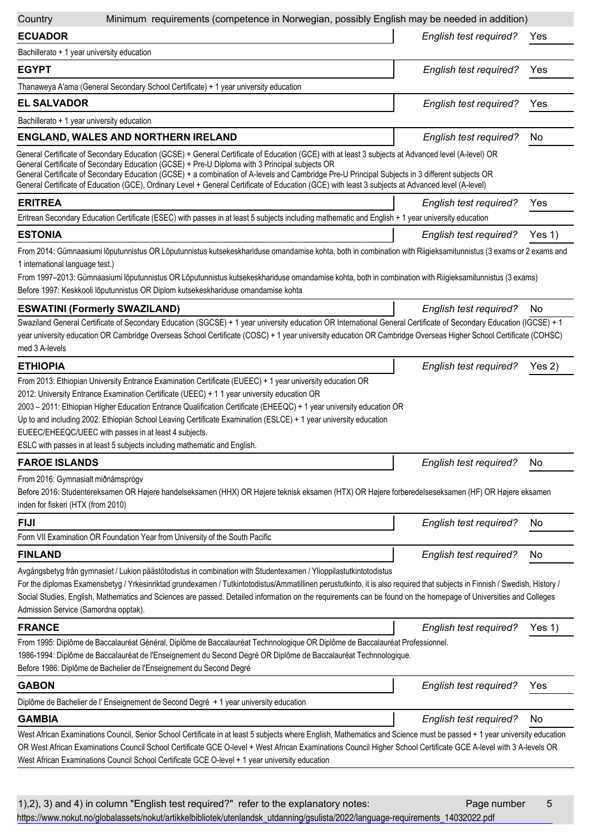| Country                                               | Minimum requirements (competence in Norwegian, possibly English may be needed in addition)                                                                                                                                                                                                                                                                                                                                                                                                                                        |                        |          |
|-------------------------------------------------------|-----------------------------------------------------------------------------------------------------------------------------------------------------------------------------------------------------------------------------------------------------------------------------------------------------------------------------------------------------------------------------------------------------------------------------------------------------------------------------------------------------------------------------------|------------------------|----------|
| <b>ECUADOR</b>                                        |                                                                                                                                                                                                                                                                                                                                                                                                                                                                                                                                   | English test required? | Yes      |
| Bachillerato + 1 year university education            |                                                                                                                                                                                                                                                                                                                                                                                                                                                                                                                                   |                        |          |
| <b>EGYPT</b>                                          |                                                                                                                                                                                                                                                                                                                                                                                                                                                                                                                                   | English test required? | Yes      |
|                                                       | Thanaweya A'ama (General Secondary School Certificate) + 1 year university education                                                                                                                                                                                                                                                                                                                                                                                                                                              |                        |          |
| <b>EL SALVADOR</b>                                    |                                                                                                                                                                                                                                                                                                                                                                                                                                                                                                                                   | English test required? | Yes      |
| Bachillerato + 1 year university education            |                                                                                                                                                                                                                                                                                                                                                                                                                                                                                                                                   |                        |          |
|                                                       | <b>ENGLAND, WALES AND NORTHERN IRELAND</b>                                                                                                                                                                                                                                                                                                                                                                                                                                                                                        | English test required? | No.      |
|                                                       | General Certificate of Secondary Education (GCSE) + General Certificate of Education (GCE) with at least 3 subjects at Advanced level (A-level) OR                                                                                                                                                                                                                                                                                                                                                                                |                        |          |
|                                                       | General Certificate of Secondary Education (GCSE) + Pre-U Diploma with 3 Principal subjects OR<br>General Certificate of Secondary Education (GCSE) + a combination of A-levels and Cambridge Pre-U Principal Subjects in 3 different subjects OR<br>General Certificate of Education (GCE), Ordinary Level + General Certificate of Education (GCE) with least 3 subjects at Advanced level (A-level)                                                                                                                            |                        |          |
| <b>ERITREA</b>                                        |                                                                                                                                                                                                                                                                                                                                                                                                                                                                                                                                   | English test required? | Yes      |
|                                                       | Eritrean Secondary Education Certificate (ESEC) with passes in at least 5 subjects including mathematic and English + 1 year university education                                                                                                                                                                                                                                                                                                                                                                                 |                        |          |
| <b>ESTONIA</b>                                        |                                                                                                                                                                                                                                                                                                                                                                                                                                                                                                                                   | English test required? | Yes $1)$ |
|                                                       | From 2014: Gümnaasiumi lõputunnistus OR Lõputunnistus kutsekeskhariduse omandamise kohta, both in combination with Riigieksamitunnistus (3 exams or 2 exams and                                                                                                                                                                                                                                                                                                                                                                   |                        |          |
| 1 international language test.)                       |                                                                                                                                                                                                                                                                                                                                                                                                                                                                                                                                   |                        |          |
|                                                       | From 1997-2013: Gümnaasiumi lõputunnistus OR Lõputunnistus kutsekeskhariduse omandamise kohta, both in combination with Riigieksamitunnistus (3 exams)                                                                                                                                                                                                                                                                                                                                                                            |                        |          |
|                                                       | Before 1997: Keskkooli lõputunnistus OR Diplom kutsekeskhariduse omandamise kohta                                                                                                                                                                                                                                                                                                                                                                                                                                                 |                        |          |
| <b>ESWATINI (Formerly SWAZILAND)</b>                  |                                                                                                                                                                                                                                                                                                                                                                                                                                                                                                                                   | English test required? | No       |
| med 3 A-levels                                        | Swaziland General Certificate of Secondary Education (SGCSE) + 1 year university education OR International General Certificate of Secondary Education (IGCSE) + 1<br>year university education OR Cambridge Overseas School Certificate (COSC) + 1 year university education OR Cambridge Overseas Higher School Certificate (COHSC)                                                                                                                                                                                             |                        |          |
| <b>ETHIOPIA</b>                                       |                                                                                                                                                                                                                                                                                                                                                                                                                                                                                                                                   | English test required? | Yes 2)   |
| EUEEC/EHEEQC/UEEC with passes in at least 4 subjects. | From 2013: Ethiopian University Entrance Examination Certificate (EUEEC) + 1 year university education OR<br>2012: University Entrance Examination Certificate (UEEC) + 1 1 year university education OR<br>2003 - 2011: Ethiopian Higher Education Entrance Qualification Certificate (EHEEQC) + 1 year university education OR<br>Up to and including 2002: Ethiopian School Leaving Certificate Examination (ESLCE) + 1 year university education<br>ESLC with passes in at least 5 subjects including mathematic and English. |                        |          |
| <b>FAROE ISLANDS</b>                                  |                                                                                                                                                                                                                                                                                                                                                                                                                                                                                                                                   | English test required? | No       |
| From 2016: Gymnasialt miðnámsprógv                    |                                                                                                                                                                                                                                                                                                                                                                                                                                                                                                                                   |                        |          |
| inden for fiskeri (HTX (from 2010)                    | Before 2016: Studentereksamen OR Højere handelseksamen (HHX) OR Højere teknisk eksamen (HTX) OR Højere forberedelseseksamen (HF) OR Højere eksamen                                                                                                                                                                                                                                                                                                                                                                                |                        |          |
| <b>FIJI</b>                                           |                                                                                                                                                                                                                                                                                                                                                                                                                                                                                                                                   | English test required? | No       |
|                                                       | Form VII Examination OR Foundation Year from University of the South Pacific                                                                                                                                                                                                                                                                                                                                                                                                                                                      |                        |          |
| <b>FINLAND</b>                                        |                                                                                                                                                                                                                                                                                                                                                                                                                                                                                                                                   | English test required? | No.      |
| Admission Service (Samordna opptak).                  | Avgångsbetyg från gymnasiet / Lukion päästötodistus in combination with Studentexamen / Ylioppilastutkintotodistus<br>For the diplomas Examensbetyg / Yrkesinriktad grundexamen / Tutkintotodistus/Ammatillinen perustutkinto, it is also required that subjects in Finnish / Swedish, History /<br>Social Studies, English, Mathematics and Sciences are passed. Detailed information on the requirements can be found on the homepage of Universities and Colleges                                                              |                        |          |
| <b>FRANCE</b>                                         |                                                                                                                                                                                                                                                                                                                                                                                                                                                                                                                                   | English test required? | Yes 1)   |
|                                                       | From 1995: Diplôme de Baccalauréat Général, Diplôme de Baccalauréat Technnologique OR Diplôme de Baccalauréat Professionnel.<br>1986-1994: Diplôme de Baccalauréat de l'Enseignement du Second Degré OR Diplôme de Baccalauréat Technnologique.<br>Before 1986: Diplôme de Bachelier de l'Enseignement du Second Degré                                                                                                                                                                                                            |                        |          |
| <b>GABON</b>                                          |                                                                                                                                                                                                                                                                                                                                                                                                                                                                                                                                   | English test required? | Yes      |
|                                                       | Diplôme de Bachelier de l' Enseignement de Second Degré + 1 year university education                                                                                                                                                                                                                                                                                                                                                                                                                                             |                        |          |
| <b>GAMBIA</b>                                         |                                                                                                                                                                                                                                                                                                                                                                                                                                                                                                                                   | English test required? | No       |
|                                                       | West African Examinations Council, Senior School Certificate in at least 5 subjects where English, Mathematics and Science must be passed + 1 year university education<br>OR West African Examinations Council School Certificate GCE O-level + West African Examinations Council Higher School Certificate GCE A-level with 3 A-levels OR<br>West African Examinations Council School Certificate GCE O-level + 1 year university education                                                                                     |                        |          |

| 1),2), 3) and 4) in column "English test required?" refer to the explanatory notes:                                             | Page number | -5 |
|---------------------------------------------------------------------------------------------------------------------------------|-------------|----|
| https://www.nokut.no/globalassets/nokut/artikkelbibliotek/utenlandsk_utdanning/gsulista/2022/language-requirements_14032022.pdf |             |    |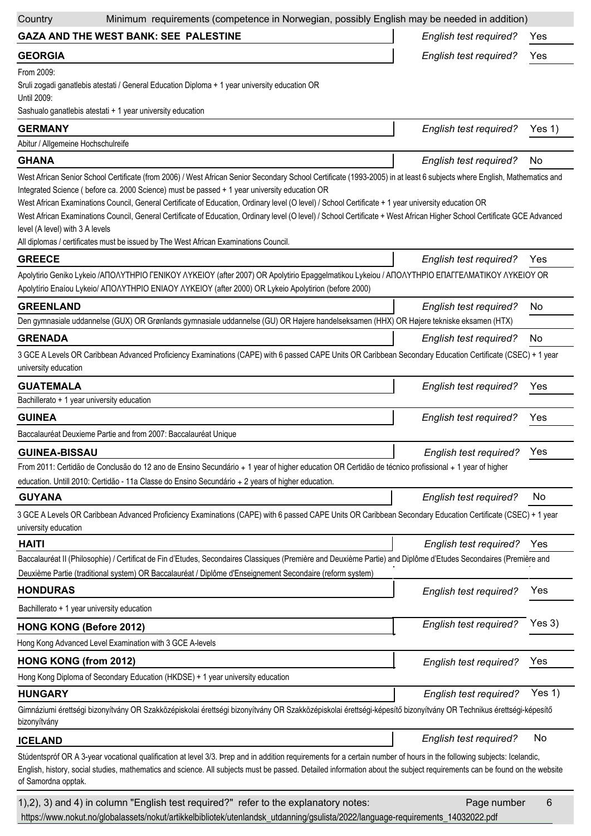| Minimum requirements (competence in Norwegian, possibly English may be needed in addition)<br>Country                                                                                                                                                                                                                                                                                                                                                                                                                                                                                                                                                                                                                                  |                               |          |
|----------------------------------------------------------------------------------------------------------------------------------------------------------------------------------------------------------------------------------------------------------------------------------------------------------------------------------------------------------------------------------------------------------------------------------------------------------------------------------------------------------------------------------------------------------------------------------------------------------------------------------------------------------------------------------------------------------------------------------------|-------------------------------|----------|
| <b>GAZA AND THE WEST BANK: SEE PALESTINE</b>                                                                                                                                                                                                                                                                                                                                                                                                                                                                                                                                                                                                                                                                                           | <b>English test required?</b> | Yes      |
| <b>GEORGIA</b>                                                                                                                                                                                                                                                                                                                                                                                                                                                                                                                                                                                                                                                                                                                         | English test required?        | Yes      |
| From 2009:<br>Sruli zogadi ganatlebis atestati / General Education Diploma + 1 year university education OR<br>Until 2009:<br>Sashualo ganatlebis atestati + 1 year university education                                                                                                                                                                                                                                                                                                                                                                                                                                                                                                                                               |                               |          |
| <b>GERMANY</b>                                                                                                                                                                                                                                                                                                                                                                                                                                                                                                                                                                                                                                                                                                                         | <b>English test required?</b> | Yes 1)   |
| Abitur / Allgemeine Hochschulreife                                                                                                                                                                                                                                                                                                                                                                                                                                                                                                                                                                                                                                                                                                     |                               |          |
| <b>GHANA</b>                                                                                                                                                                                                                                                                                                                                                                                                                                                                                                                                                                                                                                                                                                                           | English test required?        | No       |
| West African Senior School Certificate (from 2006) / West African Senior Secondary School Certificate (1993-2005) in at least 6 subjects where English, Mathematics and<br>Integrated Science ( before ca. 2000 Science) must be passed + 1 year university education OR<br>West African Examinations Council, General Certificate of Education, Ordinary level (O level) / School Certificate + 1 year university education OR<br>West African Examinations Council, General Certificate of Education, Ordinary level (O level) / School Certificate + West African Higher School Certificate GCE Advanced<br>level (A level) with 3 A levels<br>All diplomas / certificates must be issued by The West African Examinations Council. |                               |          |
| <b>GREECE</b>                                                                                                                                                                                                                                                                                                                                                                                                                                                                                                                                                                                                                                                                                                                          | English test required?        | Yes      |
| Apolytirio Geniko Lykeio /AΠΟΛΥΤΗΡΙΟ ΓΕΝΙΚΟΥ ΛΥΚΕΙΟΥ (after 2007) OR Apolytirio Epaggelmatikou Lykeiou / ΑΠΟΛΥΤΗΡΙΟ ΕΠΑΓΓΕΛΜΑΤΙΚΟΥ ΛΥΚΕΙΟΥ OR<br>Apolytírio Enaíou Lykeio/ ANOAYTHPIO ENIAOY AYKEIOY (after 2000) OR Lykeio Apolytirion (before 2000)                                                                                                                                                                                                                                                                                                                                                                                                                                                                                  |                               |          |
| <b>GREENLAND</b>                                                                                                                                                                                                                                                                                                                                                                                                                                                                                                                                                                                                                                                                                                                       | <b>English test required?</b> | No       |
| Den gymnasiale uddannelse (GUX) OR Grønlands gymnasiale uddannelse (GU) OR Højere handelseksamen (HHX) OR Højere tekniske eksamen (HTX)                                                                                                                                                                                                                                                                                                                                                                                                                                                                                                                                                                                                |                               |          |
| <b>GRENADA</b>                                                                                                                                                                                                                                                                                                                                                                                                                                                                                                                                                                                                                                                                                                                         | English test required?        | No       |
| 3 GCE A Levels OR Caribbean Advanced Proficiency Examinations (CAPE) with 6 passed CAPE Units OR Caribbean Secondary Education Certificate (CSEC) + 1 year<br>university education                                                                                                                                                                                                                                                                                                                                                                                                                                                                                                                                                     |                               |          |
| <b>GUATEMALA</b>                                                                                                                                                                                                                                                                                                                                                                                                                                                                                                                                                                                                                                                                                                                       | English test required?        | Yes      |
| Bachillerato + 1 year university education                                                                                                                                                                                                                                                                                                                                                                                                                                                                                                                                                                                                                                                                                             |                               |          |
| <b>GUINEA</b>                                                                                                                                                                                                                                                                                                                                                                                                                                                                                                                                                                                                                                                                                                                          | English test required?        | Yes      |
| Baccalauréat Deuxieme Partie and from 2007: Baccalauréat Unique                                                                                                                                                                                                                                                                                                                                                                                                                                                                                                                                                                                                                                                                        |                               |          |
| <b>GUINEA-BISSAU</b>                                                                                                                                                                                                                                                                                                                                                                                                                                                                                                                                                                                                                                                                                                                   | <b>English test required?</b> | Yes      |
| From 2011: Certidão de Conclusão do 12 ano de Ensino Secundário + 1 year of higher education OR Certidão de técnico profissional + 1 year of higher<br>education. Untill 2010: Certidão - 11a Classe do Ensino Secundário + 2 years of higher education.                                                                                                                                                                                                                                                                                                                                                                                                                                                                               |                               |          |
| <b>GUYANA</b>                                                                                                                                                                                                                                                                                                                                                                                                                                                                                                                                                                                                                                                                                                                          | English test required?        | No       |
| 3 GCE A Levels OR Caribbean Advanced Proficiency Examinations (CAPE) with 6 passed CAPE Units OR Caribbean Secondary Education Certificate (CSEC) + 1 year<br>university education                                                                                                                                                                                                                                                                                                                                                                                                                                                                                                                                                     |                               |          |
| <b>HAITI</b>                                                                                                                                                                                                                                                                                                                                                                                                                                                                                                                                                                                                                                                                                                                           | English test required?        | Yes      |
| Baccalauréat II (Philosophie) / Certificat de Fin d'Etudes, Secondaires Classiques (Première and Deuxième Partie) and Diplôme d'Etudes Secondaires (Première and<br>Deuxième Partie (traditional system) OR Baccalauréat / Diplôme d'Enseignement Secondaire (reform system)                                                                                                                                                                                                                                                                                                                                                                                                                                                           |                               |          |
| <b>HONDURAS</b>                                                                                                                                                                                                                                                                                                                                                                                                                                                                                                                                                                                                                                                                                                                        | English test required?        | Yes      |
| Bachillerato + 1 year university education                                                                                                                                                                                                                                                                                                                                                                                                                                                                                                                                                                                                                                                                                             |                               |          |
| <b>HONG KONG (Before 2012)</b>                                                                                                                                                                                                                                                                                                                                                                                                                                                                                                                                                                                                                                                                                                         | English test required?        | Yes 3)   |
| Hong Kong Advanced Level Examination with 3 GCE A-levels                                                                                                                                                                                                                                                                                                                                                                                                                                                                                                                                                                                                                                                                               |                               |          |
| <b>HONG KONG (from 2012)</b>                                                                                                                                                                                                                                                                                                                                                                                                                                                                                                                                                                                                                                                                                                           | English test required?        | Yes      |
| Hong Kong Diploma of Secondary Education (HKDSE) + 1 year university education                                                                                                                                                                                                                                                                                                                                                                                                                                                                                                                                                                                                                                                         |                               |          |
| <b>HUNGARY</b>                                                                                                                                                                                                                                                                                                                                                                                                                                                                                                                                                                                                                                                                                                                         | English test required?        | Yes $1)$ |
| Gimnáziumi érettségi bizonyítvány OR Szakközépiskolai érettségi bizonyítvány OR Szakközépiskolai érettségi-képesítő bizonyítvány OR Technikus érettségi-képesítő<br>bizonyítvány                                                                                                                                                                                                                                                                                                                                                                                                                                                                                                                                                       |                               |          |
| <b>ICELAND</b>                                                                                                                                                                                                                                                                                                                                                                                                                                                                                                                                                                                                                                                                                                                         | English test required?        | No       |
| Stúdentspróf OR A 3-year vocational qualification at level 3/3. Prep and in addition requirements for a certain number of hours in the following subjects: Icelandic,<br>English, history, social studies, mathematics and science. All subjects must be passed. Detailed information about the subject requirements can be found on the website<br>of Samordna opptak.                                                                                                                                                                                                                                                                                                                                                                |                               |          |
| 1),2), 3) and 4) in column "English test required?" refer to the explanatory notes:                                                                                                                                                                                                                                                                                                                                                                                                                                                                                                                                                                                                                                                    | Page number                   | 6        |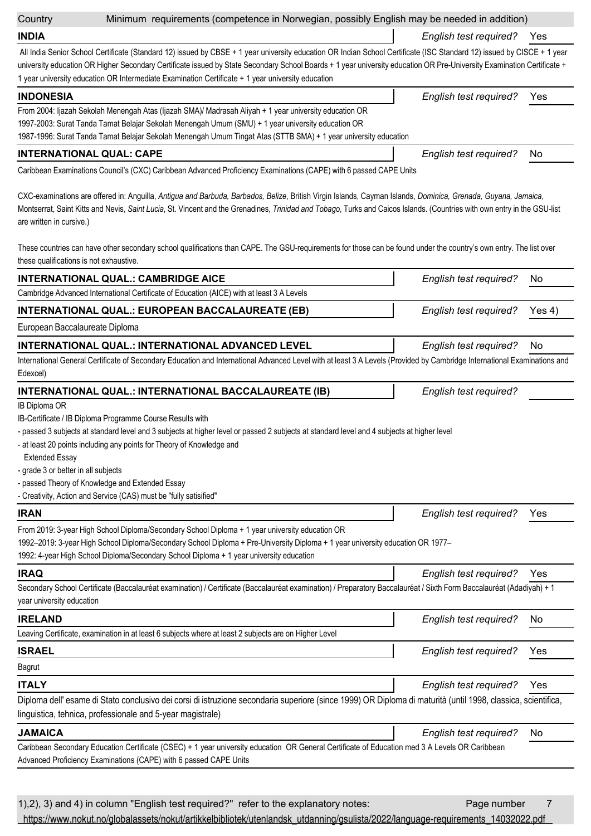**Country** 

Minimum requirements (competence in Norwegian, possibly English may be needed in addition)

**INDIA**

*English test required?* Yes

All India Senior School Certificate (Standard 12) issued by CBSE + 1 year university education OR Indian School Certificate (ISC Standard 12) issued by CISCE + 1 year university education OR Higher Secondary Certificate issued by State Secondary School Boards + 1 year university education OR Pre-University Examination Certificate + 1 year university education OR Intermediate Examination Certificate + 1 year university education

| <b>INDONESIA</b>                                                                                                                                                                                                                                                                                                                                                      | English test required? | Yes. |
|-----------------------------------------------------------------------------------------------------------------------------------------------------------------------------------------------------------------------------------------------------------------------------------------------------------------------------------------------------------------------|------------------------|------|
| From 2004: Ijazah Sekolah Menengah Atas (Ijazah SMA)/ Madrasah Aliyah + 1 year university education OR                                                                                                                                                                                                                                                                |                        |      |
| 1997-2003: Surat Tanda Tamat Belajar Sekolah Menengah Umum (SMU) + 1 year university education OR                                                                                                                                                                                                                                                                     |                        |      |
| 1987-1996: Surat Tanda Tamat Belajar Sekolah Menengah Umum Tingat Atas (STTB SMA) + 1 year university education                                                                                                                                                                                                                                                       |                        |      |
| <b>INTERNATIONAL QUAL: CAPE</b>                                                                                                                                                                                                                                                                                                                                       | English test required? | No.  |
| Caribbean Examinations Council's (CXC) Caribbean Advanced Proficiency Examinations (CAPE) with 6 passed CAPE Units                                                                                                                                                                                                                                                    |                        |      |
| CXC-examinations are offered in: Anguilla, Antigua and Barbuda, Barbados, Belize, British Virgin Islands, Cayman Islands, Dominica, Grenada, Guyana, Jamaica,<br>Montserrat, Saint Kitts and Nevis, Saint Lucia, St. Vincent and the Grenadines, Trinidad and Tobago, Turks and Caicos Islands. (Countries with own entry in the GSU-list<br>are written in cursive.) |                        |      |

These countries can have other secondary school qualifications than CAPE. The GSU-requirements for those can be found under the country's own entry. The list over these qualifications is not exhaustive.

| <b>INTERNATIONAL QUAL.: CAMBRIDGE AICE</b>                                                                                                                                                                                                                                                                                                                                                                   | English test required?        | No     |
|--------------------------------------------------------------------------------------------------------------------------------------------------------------------------------------------------------------------------------------------------------------------------------------------------------------------------------------------------------------------------------------------------------------|-------------------------------|--------|
| Cambridge Advanced International Certificate of Education (AICE) with at least 3 A Levels                                                                                                                                                                                                                                                                                                                    |                               |        |
| <b>INTERNATIONAL QUAL.: EUROPEAN BACCALAUREATE (EB)</b>                                                                                                                                                                                                                                                                                                                                                      | English test required?        | Yes 4) |
| European Baccalaureate Diploma                                                                                                                                                                                                                                                                                                                                                                               |                               |        |
| INTERNATIONAL QUAL.: INTERNATIONAL ADVANCED LEVEL                                                                                                                                                                                                                                                                                                                                                            | English test required?        | No     |
| International General Certificate of Secondary Education and International Advanced Level with at least 3 A Levels (Provided by Cambridge International Examinations and<br>Edexcel)                                                                                                                                                                                                                         |                               |        |
| INTERNATIONAL QUAL.: INTERNATIONAL BACCALAUREATE (IB)                                                                                                                                                                                                                                                                                                                                                        | English test required?        |        |
| IB Diploma OR<br>IB-Certificate / IB Diploma Programme Course Results with<br>passed 3 subjects at standard level and 3 subjects at higher level or passed 2 subjects at standard level and 4 subjects at higher level<br>at least 20 points including any points for Theory of Knowledge and<br><b>Extended Essay</b><br>grade 3 or better in all subjects<br>passed Theory of Knowledge and Extended Essay |                               |        |
| Creativity, Action and Service (CAS) must be "fully satisified"                                                                                                                                                                                                                                                                                                                                              |                               |        |
| <b>IRAN</b>                                                                                                                                                                                                                                                                                                                                                                                                  | English test required?        | Yes    |
| From 2019: 3-year High School Diploma/Secondary School Diploma + 1 year university education OR<br>1992-2019: 3-year High School Diploma/Secondary School Diploma + Pre-University Diploma + 1 year university education OR 1977-<br>1992: 4-year High School Diploma/Secondary School Diploma + 1 year university education                                                                                 |                               |        |
| <b>IRAQ</b>                                                                                                                                                                                                                                                                                                                                                                                                  | English test required?        | Yes    |
| Secondary School Certificate (Baccalauréat examination) / Certificate (Baccalauréat examination) / Preparatory Baccalauréat / Sixth Form Baccalauréat (Adadiyah) + 1<br>year university education                                                                                                                                                                                                            |                               |        |
| <b>IRELAND</b>                                                                                                                                                                                                                                                                                                                                                                                               | <b>English test required?</b> | No     |
| Leaving Certificate, examination in at least 6 subjects where at least 2 subjects are on Higher Level                                                                                                                                                                                                                                                                                                        |                               |        |
| <b>ISRAEL</b>                                                                                                                                                                                                                                                                                                                                                                                                | English test required?        | Yes    |
| <b>Bagrut</b>                                                                                                                                                                                                                                                                                                                                                                                                |                               |        |
| <b>ITALY</b>                                                                                                                                                                                                                                                                                                                                                                                                 | English test required?        | Yes    |
| Diploma dell' esame di Stato conclusivo dei corsi di istruzione secondaria superiore (since 1999) OR Diploma di maturità (until 1998, classica, scientifica,<br>linguistica, tehnica, professionale and 5-year magistrale)                                                                                                                                                                                   |                               |        |
| <b>JAMAICA</b>                                                                                                                                                                                                                                                                                                                                                                                               | <b>English test required?</b> | No     |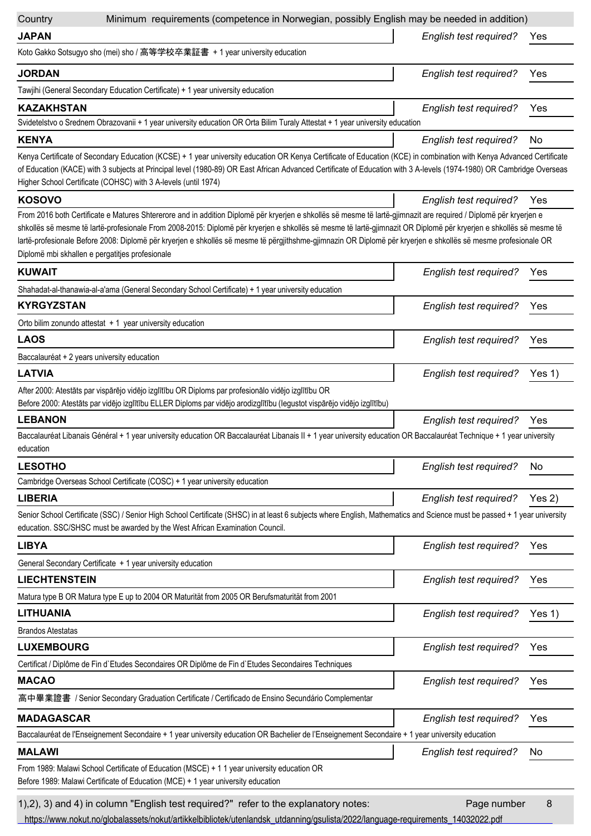| Country                                                                                                                                                                         | Minimum requirements (competence in Norwegian, possibly English may be needed in addition)                                                                                                                                                                                                                                                                                                                                                                                                                |        |
|---------------------------------------------------------------------------------------------------------------------------------------------------------------------------------|-----------------------------------------------------------------------------------------------------------------------------------------------------------------------------------------------------------------------------------------------------------------------------------------------------------------------------------------------------------------------------------------------------------------------------------------------------------------------------------------------------------|--------|
| <b>JAPAN</b>                                                                                                                                                                    | English test required?                                                                                                                                                                                                                                                                                                                                                                                                                                                                                    | Yes    |
| Koto Gakko Sotsugyo sho (mei) sho / 高等学校卒業証書 + 1 year university education                                                                                                      |                                                                                                                                                                                                                                                                                                                                                                                                                                                                                                           |        |
| <b>JORDAN</b>                                                                                                                                                                   | English test required?                                                                                                                                                                                                                                                                                                                                                                                                                                                                                    | Yes    |
| Tawjihi (General Secondary Education Certificate) + 1 year university education                                                                                                 |                                                                                                                                                                                                                                                                                                                                                                                                                                                                                                           |        |
| <b>KAZAKHSTAN</b>                                                                                                                                                               | English test required?                                                                                                                                                                                                                                                                                                                                                                                                                                                                                    | Yes    |
| Svidetelstvo o Srednem Obrazovanii + 1 year university education OR Orta Bilim Turaly Attestat + 1 year university education                                                    |                                                                                                                                                                                                                                                                                                                                                                                                                                                                                                           |        |
| <b>KENYA</b>                                                                                                                                                                    | English test required?                                                                                                                                                                                                                                                                                                                                                                                                                                                                                    | No     |
| Higher School Certificate (COHSC) with 3 A-levels (until 1974)                                                                                                                  | Kenya Certificate of Secondary Education (KCSE) + 1 year university education OR Kenya Certificate of Education (KCE) in combination with Kenya Advanced Certificate<br>of Education (KACE) with 3 subjects at Principal level (1980-89) OR East African Advanced Certificate of Education with 3 A-levels (1974-1980) OR Cambridge Overseas                                                                                                                                                              |        |
| <b>KOSOVO</b>                                                                                                                                                                   | English test required?                                                                                                                                                                                                                                                                                                                                                                                                                                                                                    | Yes    |
| Diplomë mbi skhallen e pergatitjes profesionale                                                                                                                                 | From 2016 both Certificate e Matures Shtererore and in addition Diplomë për kryerjen e shkollës së mesme të lartë-gjimnazit are required / Diplomë për kryerjen e<br>shkollës së mesme të lartë-profesionale From 2008-2015: Diplomë për kryerjen e shkollës së mesme të lartë-gjimnazit OR Diplomë për kryerjen e shkollës së mesme të<br>lartë-profesionale Before 2008: Diplomë për kryerjen e shkollës së mesme të përgjithshme-gjimnazin OR Diplomë për kryerjen e shkollës së mesme profesionale OR |        |
| <b>KUWAIT</b>                                                                                                                                                                   | English test required?                                                                                                                                                                                                                                                                                                                                                                                                                                                                                    | Yes    |
| Shahadat-al-thanawia-al-a'ama (General Secondary School Certificate) + 1 year university education                                                                              |                                                                                                                                                                                                                                                                                                                                                                                                                                                                                                           |        |
| <b>KYRGYZSTAN</b>                                                                                                                                                               | English test required?                                                                                                                                                                                                                                                                                                                                                                                                                                                                                    | Yes    |
| Orto bilim zonundo attestat $+1$ year university education                                                                                                                      |                                                                                                                                                                                                                                                                                                                                                                                                                                                                                                           |        |
| <b>LAOS</b>                                                                                                                                                                     | English test required?                                                                                                                                                                                                                                                                                                                                                                                                                                                                                    | Yes    |
| Baccalauréat + 2 years university education                                                                                                                                     |                                                                                                                                                                                                                                                                                                                                                                                                                                                                                                           |        |
| <b>LATVIA</b>                                                                                                                                                                   | English test required?                                                                                                                                                                                                                                                                                                                                                                                                                                                                                    | Yes 1) |
| After 2000: Atestāts par vispārējo vidējo izglītību OR Diploms par profesionālo vidējo izglītību OR                                                                             |                                                                                                                                                                                                                                                                                                                                                                                                                                                                                                           |        |
| Before 2000: Atestāts par vidējo izglītību ELLER Diploms par vidējo arodizglītību (legustot vispārējo vidējo izglītību)                                                         |                                                                                                                                                                                                                                                                                                                                                                                                                                                                                                           |        |
| <b>LEBANON</b>                                                                                                                                                                  | English test required?                                                                                                                                                                                                                                                                                                                                                                                                                                                                                    | Yes    |
| education                                                                                                                                                                       | Baccalauréat Libanais Général + 1 year university education OR Baccalauréat Libanais II + 1 year university education OR Baccalauréat Technique + 1 year university                                                                                                                                                                                                                                                                                                                                       |        |
| <b>LESOTHO</b>                                                                                                                                                                  | <b>English test required?</b>                                                                                                                                                                                                                                                                                                                                                                                                                                                                             | No     |
| Cambridge Overseas School Certificate (COSC) + 1 year university education                                                                                                      |                                                                                                                                                                                                                                                                                                                                                                                                                                                                                                           |        |
| <b>LIBERIA</b>                                                                                                                                                                  | English test required?                                                                                                                                                                                                                                                                                                                                                                                                                                                                                    | Yes 2) |
| education. SSC/SHSC must be awarded by the West African Examination Council.                                                                                                    | Senior School Certificate (SSC) / Senior High School Certificate (SHSC) in at least 6 subjects where English, Mathematics and Science must be passed + 1 year university                                                                                                                                                                                                                                                                                                                                  |        |
| <b>LIBYA</b>                                                                                                                                                                    | English test required?                                                                                                                                                                                                                                                                                                                                                                                                                                                                                    | Yes    |
| General Secondary Certificate + 1 year university education                                                                                                                     |                                                                                                                                                                                                                                                                                                                                                                                                                                                                                                           |        |
| <b>LIECHTENSTEIN</b>                                                                                                                                                            | English test required?                                                                                                                                                                                                                                                                                                                                                                                                                                                                                    | Yes    |
| Matura type B OR Matura type E up to 2004 OR Maturität from 2005 OR Berufsmaturität from 2001                                                                                   |                                                                                                                                                                                                                                                                                                                                                                                                                                                                                                           |        |
| <b>LITHUANIA</b>                                                                                                                                                                | English test required?                                                                                                                                                                                                                                                                                                                                                                                                                                                                                    | Yes 1) |
| Brandos Atestatas                                                                                                                                                               |                                                                                                                                                                                                                                                                                                                                                                                                                                                                                                           |        |
| <b>LUXEMBOURG</b>                                                                                                                                                               | English test required?                                                                                                                                                                                                                                                                                                                                                                                                                                                                                    | Yes    |
| Certificat / Diplôme de Fin d'Etudes Secondaires OR Diplôme de Fin d'Etudes Secondaires Techniques                                                                              |                                                                                                                                                                                                                                                                                                                                                                                                                                                                                                           |        |
| <b>MACAO</b>                                                                                                                                                                    | English test required?                                                                                                                                                                                                                                                                                                                                                                                                                                                                                    | Yes    |
| 高中畢業證書 / Senior Secondary Graduation Certificate / Certificado de Ensino Secundário Complementar                                                                                |                                                                                                                                                                                                                                                                                                                                                                                                                                                                                                           |        |
| <b>MADAGASCAR</b>                                                                                                                                                               | English test required?                                                                                                                                                                                                                                                                                                                                                                                                                                                                                    | Yes    |
| Baccalauréat de l'Enseignement Secondaire + 1 year university education OR Bachelier de l'Enseignement Secondaire + 1 year university education                                 |                                                                                                                                                                                                                                                                                                                                                                                                                                                                                                           |        |
| <b>MALAWI</b>                                                                                                                                                                   | English test required?                                                                                                                                                                                                                                                                                                                                                                                                                                                                                    | No     |
| From 1989: Malawi School Certificate of Education (MSCE) + 1 1 year university education OR<br>Before 1989: Malawi Certificate of Education (MCE) + 1 year university education |                                                                                                                                                                                                                                                                                                                                                                                                                                                                                                           |        |
| 1), 2), 3) and 4) in column "English test required?" refer to the explanatory notes:                                                                                            | Page number                                                                                                                                                                                                                                                                                                                                                                                                                                                                                               | 8      |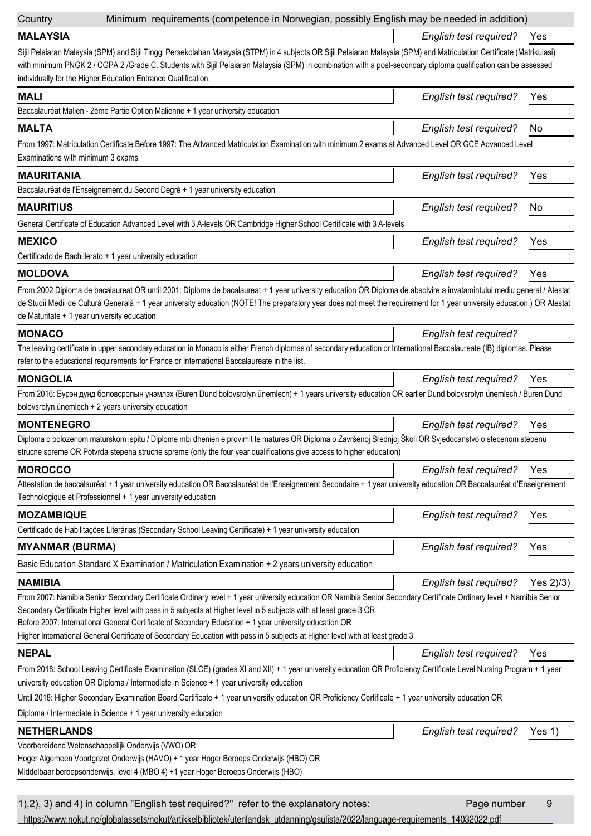| Country                           | Minimum requirements (competence in Norwegian, possibly English may be needed in addition)                                                                                                                                                                                                                                                                                                                                                                                                                                           |                               |             |
|-----------------------------------|--------------------------------------------------------------------------------------------------------------------------------------------------------------------------------------------------------------------------------------------------------------------------------------------------------------------------------------------------------------------------------------------------------------------------------------------------------------------------------------------------------------------------------------|-------------------------------|-------------|
| <b>MALAYSIA</b>                   |                                                                                                                                                                                                                                                                                                                                                                                                                                                                                                                                      | English test required?        | Yes         |
|                                   | Sijil Pelaiaran Malaysia (SPM) and Sijil Tinggi Persekolahan Malaysia (STPM) in 4 subjects OR Sijil Pelaiaran Malaysia (SPM) and Matriculation Certificate (Matrikulasi)<br>with minimum PNGK 2 / CGPA 2 /Grade C. Students with Sijil Pelaiaran Malaysia (SPM) in combination with a post-secondary diploma qualification can be assessed<br>individually for the Higher Education Entrance Qualification.                                                                                                                          |                               |             |
| <b>MALI</b>                       |                                                                                                                                                                                                                                                                                                                                                                                                                                                                                                                                      | English test required?        | Yes         |
|                                   | Baccalauréat Malien - 2ème Partie Option Malienne + 1 year university education                                                                                                                                                                                                                                                                                                                                                                                                                                                      |                               |             |
| <b>MALTA</b>                      |                                                                                                                                                                                                                                                                                                                                                                                                                                                                                                                                      | English test required?        | No.         |
| Examinations with minimum 3 exams | From 1997: Matriculation Certificate Before 1997: The Advanced Matriculation Examination with minimum 2 exams at Advanced Level OR GCE Advanced Level                                                                                                                                                                                                                                                                                                                                                                                |                               |             |
| <b>MAURITANIA</b>                 |                                                                                                                                                                                                                                                                                                                                                                                                                                                                                                                                      | <b>English test required?</b> | Yes         |
|                                   | Baccalauréat de l'Enseignement du Second Degré + 1 year university education                                                                                                                                                                                                                                                                                                                                                                                                                                                         |                               |             |
| <b>MAURITIUS</b>                  |                                                                                                                                                                                                                                                                                                                                                                                                                                                                                                                                      | English test required?        | No.         |
|                                   | General Certificate of Education Advanced Level with 3 A-levels OR Cambridge Higher School Certificate with 3 A-levels                                                                                                                                                                                                                                                                                                                                                                                                               |                               |             |
| <b>MEXICO</b>                     |                                                                                                                                                                                                                                                                                                                                                                                                                                                                                                                                      | <b>English test required?</b> | Yes         |
|                                   | Certificado de Bachillerato + 1 year university education                                                                                                                                                                                                                                                                                                                                                                                                                                                                            |                               |             |
| <b>MOLDOVA</b>                    |                                                                                                                                                                                                                                                                                                                                                                                                                                                                                                                                      | English test required?        | Yes         |
|                                   | From 2002 Diploma de bacalaureat OR until 2001: Diploma de bacalaureat + 1 year university education OR Diploma de absolvire a invatamintului mediu general / Atestat<br>de Studii Medii de Cultură Generală + 1 year university education (NOTE! The preparatory year does not meet the requirement for 1 year university education.) OR Atestat<br>de Maturitate + 1 year university education                                                                                                                                     |                               |             |
| <b>MONACO</b>                     |                                                                                                                                                                                                                                                                                                                                                                                                                                                                                                                                      | English test required?        |             |
|                                   | The leaving certificate in upper secondary education in Monaco is either French diplomas of secondary education or International Baccalaureate (IB) diplomas. Please<br>refer to the educational requirements for France or International Baccalaureate in the list.                                                                                                                                                                                                                                                                 |                               |             |
| <b>MONGOLIA</b>                   |                                                                                                                                                                                                                                                                                                                                                                                                                                                                                                                                      | English test required?        | Yes         |
|                                   | From 2016: Бурэн дунд боловсролын унэмлэх (Buren Dund bolovsrolyn ünemlech) + 1 years university education OR earlier Dund bolovsrolyn ünemlech / Buren Dund<br>bolovsrolyn ünemlech + 2 years university education                                                                                                                                                                                                                                                                                                                  |                               |             |
| <b>MONTENEGRO</b>                 |                                                                                                                                                                                                                                                                                                                                                                                                                                                                                                                                      | <b>English test required?</b> | Yes         |
|                                   | Diploma o polozenom maturskom ispitu / Diplome mbi dhenien e provimit te matures OR Diploma o Završenoj Srednjoj Školi OR Svjedocanstvo o stecenom stepenu<br>strucne spreme OR Potvrda stepena strucne spreme (only the four year qualifications give access to higher education)                                                                                                                                                                                                                                                   |                               |             |
| <b>MOROCCO</b>                    |                                                                                                                                                                                                                                                                                                                                                                                                                                                                                                                                      | English test required?        | Yes         |
|                                   | Attestation de baccalauréat + 1 year university education OR Baccalauréat de l'Enseignement Secondaire + 1 year university education OR Baccalauréat d'Enseignement<br>Technologique et Professionnel + 1 year university education                                                                                                                                                                                                                                                                                                  |                               |             |
| <b>MOZAMBIQUE</b>                 |                                                                                                                                                                                                                                                                                                                                                                                                                                                                                                                                      | English test required?        | Yes         |
|                                   | Certificado de Habilitações Literárias (Secondary School Leaving Certificate) + 1 year university education                                                                                                                                                                                                                                                                                                                                                                                                                          |                               |             |
| <b>MYANMAR (BURMA)</b>            |                                                                                                                                                                                                                                                                                                                                                                                                                                                                                                                                      | English test required?        | Yes         |
|                                   | Basic Education Standard X Examination / Matriculation Examination + 2 years university education                                                                                                                                                                                                                                                                                                                                                                                                                                    |                               |             |
| <b>NAMIBIA</b>                    |                                                                                                                                                                                                                                                                                                                                                                                                                                                                                                                                      | English test required?        | Yes $2/3$ ) |
|                                   | From 2007: Namibia Senior Secondary Certificate Ordinary level + 1 year university education OR Namibia Senior Secondary Certificate Ordinary level + Namibia Senior<br>Secondary Certificate Higher level with pass in 5 subjects at Higher level in 5 subjects with at least grade 3 OR<br>Before 2007: International General Certificate of Secondary Education + 1 year university education OR<br>Higher International General Certificate of Secondary Education with pass in 5 subjects at Higher level with at least grade 3 |                               |             |
| <b>NEPAL</b>                      |                                                                                                                                                                                                                                                                                                                                                                                                                                                                                                                                      | English test required?        | Yes         |
|                                   | From 2018: School Leaving Certificate Examination (SLCE) (grades XI and XII) + 1 year university education OR Proficiency Certificate Level Nursing Program + 1 year<br>university education OR Diploma / Intermediate in Science + 1 year university education                                                                                                                                                                                                                                                                      |                               |             |
|                                   | Until 2018: Higher Secondary Examination Board Certificate + 1 year university education OR Proficiency Certificate + 1 year university education OR<br>Diploma / Intermediate in Science + 1 year university education                                                                                                                                                                                                                                                                                                              |                               |             |
| <b>NETHERLANDS</b>                |                                                                                                                                                                                                                                                                                                                                                                                                                                                                                                                                      | English test required?        | Yes 1)      |
|                                   | Voorbereidend Wetenschappelijk Onderwijs (VWO) OR<br>Hoger Algemeen Voortgezet Onderwijs (HAVO) + 1 year Hoger Beroeps Onderwijs (HBO) OR<br>Middelbaar beroepsonderwijs, level 4 (MBO 4) +1 year Hoger Beroeps Onderwijs (HBO)                                                                                                                                                                                                                                                                                                      |                               |             |
|                                   | 1), 2), 3) and 4) in column "English test required?" refer to the explanatory notes:                                                                                                                                                                                                                                                                                                                                                                                                                                                 | Page number                   | 9           |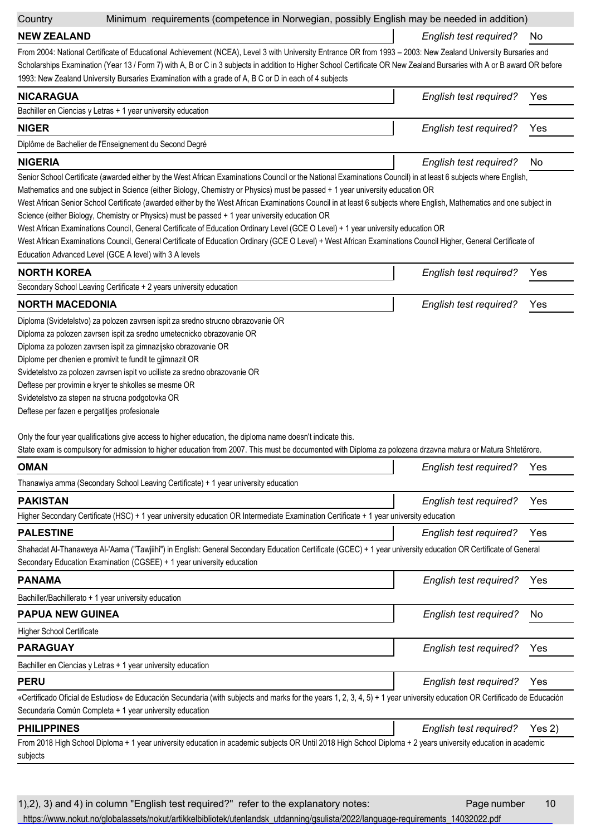| Country |  |
|---------|--|
|         |  |

## Minimum requirements (competence in Norwegian, possibly English may be needed in addition)

**NEW ZEALAND**

*English test required?* No

From 2004: National Certificate of Educational Achievement (NCEA), Level 3 with University Entrance OR from 1993 – 2003: New Zealand University Bursaries and Scholarships Examination (Year 13 / Form 7) with A, B or C in 3 subjects in addition to Higher School Certificate OR New Zealand Bursaries with A or B award OR before 1993: New Zealand University Bursaries Examination with a grade of A, B C or D in each of 4 subjects

| <b>NICARAGUA</b>                                                                                                                                                                                                                  | English test required? | Yes |
|-----------------------------------------------------------------------------------------------------------------------------------------------------------------------------------------------------------------------------------|------------------------|-----|
| Bachiller en Ciencias y Letras + 1 year university education                                                                                                                                                                      |                        |     |
| <b>NIGER</b>                                                                                                                                                                                                                      | English test required? | Yes |
| Diplôme de Bachelier de l'Enseignement du Second Degré                                                                                                                                                                            |                        |     |
| <b>NIGERIA</b>                                                                                                                                                                                                                    | English test required? | No. |
| $\bigcap$ . A set of the set of the set of the set of the set of the set of the set of the set of the set of the set of the set of the set of the set of the set of the set of the set of the set of the set of the set of the se |                        |     |

Senior School Certificate (awarded either by the West African Examinations Council or the National Examinations Council) in at least 6 subjects where English,

Mathematics and one subject in Science (either Biology, Chemistry or Physics) must be passed + 1 year university education OR

West African Senior School Certificate (awarded either by the West African Examinations Council in at least 6 subjects where English, Mathematics and one subject in Science (either Biology, Chemistry or Physics) must be passed + 1 year university education OR

West African Examinations Council, General Certificate of Education Ordinary Level (GCE O Level) + 1 year university education OR

West African Examinations Council, General Certificate of Education Ordinary (GCE O Level) + West African Examinations Council Higher, General Certificate of Education Advanced Level (GCE A level) with 3 A levels

| <b>NORTH KOREA</b>                                                               | English test required? | Yes |
|----------------------------------------------------------------------------------|------------------------|-----|
| Secondary School Leaving Certificate + 2 years university education              |                        |     |
| <b>NORTH MACEDONIA</b>                                                           | English test required? | Yes |
| Diploma (Svidetelstvo) za polozen zavrsen ispit za sredno strucno obrazovanie OR |                        |     |

Diploma za polozen zavrsen ispit za sredno umetecnicko obrazovanie OR

Diploma za polozen zavrsen ispit za gimnazijsko obrazovanie OR

Diplome per dhenien e promivit te fundit te gjimnazit OR

Svidetelstvo za polozen zavrsen ispit vo uciliste za sredno obrazovanie OR

Deftese per provimin e kryer te shkolles se mesme OR

Svidetelstvo za stepen na strucna podgotovka OR

Deftese per fazen e pergatitjes profesionale

Only the four year qualifications give access to higher education, the diploma name doesn't indicate this.

State exam is compulsory for admission to higher education from 2007. This must be documented with Diploma za polozena drzavna matura or Matura Shtetërore.

| <b>OMAN</b>                                                                                                                                                                                                                             | English test required?        | Yes        |
|-----------------------------------------------------------------------------------------------------------------------------------------------------------------------------------------------------------------------------------------|-------------------------------|------------|
| Thanawiya amma (Secondary School Leaving Certificate) + 1 year university education                                                                                                                                                     |                               |            |
| <b>PAKISTAN</b>                                                                                                                                                                                                                         | English test required?        | Yes        |
| Higher Secondary Certificate (HSC) + 1 year university education OR Intermediate Examination Certificate + 1 year university education                                                                                                  |                               |            |
| <b>PALESTINE</b>                                                                                                                                                                                                                        | English test required?        | Yes        |
| Shahadat Al-Thanaweya Al-'Aama ("Tawjiihi") in English: General Secondary Education Certificate (GCEC) + 1 year university education OR Certificate of General<br>Secondary Education Examination (CGSEE) + 1 year university education |                               |            |
| <b>PANAMA</b>                                                                                                                                                                                                                           | English test required?        | Yes        |
| Bachiller/Bachillerato + 1 year university education                                                                                                                                                                                    |                               |            |
| <b>PAPUA NEW GUINEA</b>                                                                                                                                                                                                                 | English test required?        | No.        |
| <b>Higher School Certificate</b>                                                                                                                                                                                                        |                               |            |
| <b>PARAGUAY</b>                                                                                                                                                                                                                         | <b>English test required?</b> | Yes        |
| Bachiller en Ciencias y Letras + 1 year university education                                                                                                                                                                            |                               |            |
| <b>PERU</b>                                                                                                                                                                                                                             | English test required?        | <b>Yes</b> |
| «Certificado Oficial de Estudios» de Educación Secundaria (with subjects and marks for the years 1, 2, 3, 4, 5) + 1 year university education OR Certificado de Educación<br>Secundaria Común Completa + 1 year university education    |                               |            |
| <b>PHILIPPINES</b>                                                                                                                                                                                                                      | English test required?        | Yes 2)     |
| From 2018 High School Diploma + 1 year university education in academic subjects OR Until 2018 High School Diploma + 2 years university education in academic<br>subjects                                                               |                               |            |
|                                                                                                                                                                                                                                         |                               |            |

1),2), 3) and 4) in column "English test required?" refer to the explanatory notes: Page number 10 [https://www.nokut.no/globalassets/nokut/artikkelbibliotek/utenlandsk\\_utdanning/gsulista/2022/language-requirements\\_14032022.pdf](https://www.nokut.no/globalassets/nokut/artikkelbibliotek/utenlandsk_utdanning/gsulista/2022/language-requirements_14032022.pdf)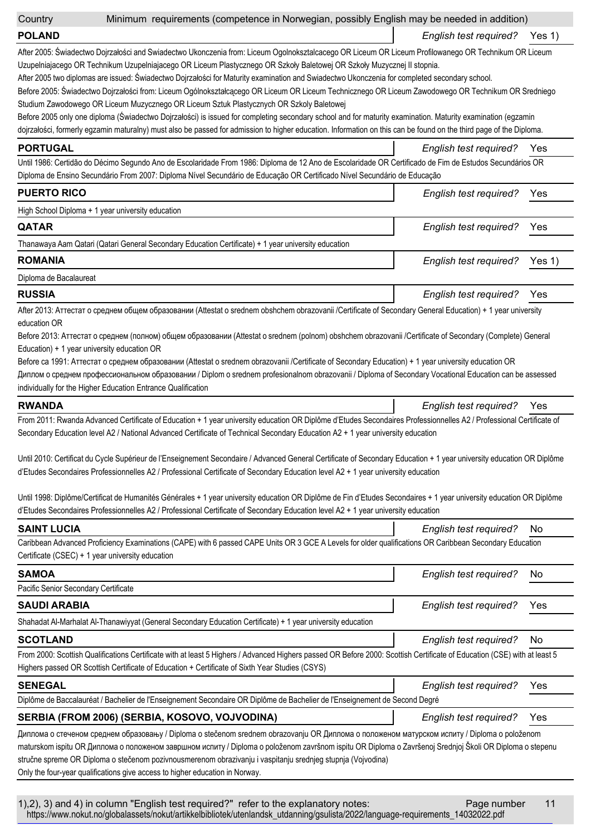| Country                                          | Minimum requirements (competence in Norwegian, possibly English may be needed in addition)                                                                                                                                                                                                                                                                                                                                                                                                                                                                                                                                                                                                                                                                                                                                                                                                                                      |                               |          |
|--------------------------------------------------|---------------------------------------------------------------------------------------------------------------------------------------------------------------------------------------------------------------------------------------------------------------------------------------------------------------------------------------------------------------------------------------------------------------------------------------------------------------------------------------------------------------------------------------------------------------------------------------------------------------------------------------------------------------------------------------------------------------------------------------------------------------------------------------------------------------------------------------------------------------------------------------------------------------------------------|-------------------------------|----------|
| <b>POLAND</b>                                    |                                                                                                                                                                                                                                                                                                                                                                                                                                                                                                                                                                                                                                                                                                                                                                                                                                                                                                                                 | English test required?        | Yes $1)$ |
|                                                  | After 2005: Świadectwo Dojrzałości and Swiadectwo Ukonczenia from: Liceum Ogolnoksztalcacego OR Liceum OR Liceum Profilowanego OR Technikum OR Liceum<br>Uzupelniajacego OR Technikum Uzupelniajacego OR Liceum Plastycznego OR Szkoły Baletowej OR Szkoły Muzycznej II stopnia.<br>After 2005 two diplomas are issued: Świadectwo Dojrzałości for Maturity examination and Swiadectwo Ukonczenia for completed secondary school.<br>Before 2005: Świadectwo Dojrzałości from: Liceum Ogólnokształcącego OR Liceum OR Liceum Technicznego OR Liceum Zawodowego OR Technikum OR Sredniego<br>Studium Zawodowego OR Liceum Muzycznego OR Liceum Sztuk Plastycznych OR Szkoly Baletowej                                                                                                                                                                                                                                            |                               |          |
|                                                  | Before 2005 only one diploma (Świadectwo Dojrzałości) is issued for completing secondary school and for maturity examination. Maturity examination (egzamin<br>dojrzałości, formerly egzamin maturalny) must also be passed for admission to higher education. Information on this can be found on the third page of the Diploma.                                                                                                                                                                                                                                                                                                                                                                                                                                                                                                                                                                                               |                               |          |
| <b>PORTUGAL</b>                                  |                                                                                                                                                                                                                                                                                                                                                                                                                                                                                                                                                                                                                                                                                                                                                                                                                                                                                                                                 | English test required?        | Yes      |
|                                                  | Until 1986: Certidão do Décimo Segundo Ano de Escolaridade From 1986: Diploma de 12 Ano de Escolaridade OR Certificado de Fim de Estudos Secundários OR<br>Diploma de Ensino Secundário From 2007: Diploma Nível Secundário de Educação OR Certificado Nível Secundário de Educação                                                                                                                                                                                                                                                                                                                                                                                                                                                                                                                                                                                                                                             |                               |          |
| <b>PUERTO RICO</b>                               |                                                                                                                                                                                                                                                                                                                                                                                                                                                                                                                                                                                                                                                                                                                                                                                                                                                                                                                                 | English test required?        | Yes      |
|                                                  | High School Diploma + 1 year university education                                                                                                                                                                                                                                                                                                                                                                                                                                                                                                                                                                                                                                                                                                                                                                                                                                                                               |                               |          |
| <b>QATAR</b>                                     |                                                                                                                                                                                                                                                                                                                                                                                                                                                                                                                                                                                                                                                                                                                                                                                                                                                                                                                                 | English test required?        | Yes      |
|                                                  | Thanawaya Aam Qatari (Qatari General Secondary Education Certificate) + 1 year university education                                                                                                                                                                                                                                                                                                                                                                                                                                                                                                                                                                                                                                                                                                                                                                                                                             |                               |          |
| <b>ROMANIA</b>                                   |                                                                                                                                                                                                                                                                                                                                                                                                                                                                                                                                                                                                                                                                                                                                                                                                                                                                                                                                 | English test required?        | Yes 1)   |
| Diploma de Bacalaureat                           |                                                                                                                                                                                                                                                                                                                                                                                                                                                                                                                                                                                                                                                                                                                                                                                                                                                                                                                                 |                               |          |
| <b>RUSSIA</b>                                    |                                                                                                                                                                                                                                                                                                                                                                                                                                                                                                                                                                                                                                                                                                                                                                                                                                                                                                                                 | English test required?        | Yes      |
| education OR                                     | After 2013: Аттестат о среднем общем образовании (Attestat o srednem obshchem obrazovanii /Certificate of Secondary General Education) + 1 year university<br>Before 2013: Аттестат о среднем (полном) общем образовании (Attestat o srednem (polnom) obshchem obrazovanii /Certificate of Secondary (Complete) General                                                                                                                                                                                                                                                                                                                                                                                                                                                                                                                                                                                                         |                               |          |
| Education) + 1 year university education OR      | Before ca 1991: Аттестат о среднем образовании (Attestat o srednem obrazovanii /Certificate of Secondary Education) + 1 year university education OR<br>Диплом о среднем профессиональном образовании / Diplom o srednem profesionalnom obrazovanii / Diploma of Secondary Vocational Education can be assessed<br>individually for the Higher Education Entrance Qualification                                                                                                                                                                                                                                                                                                                                                                                                                                                                                                                                                 |                               |          |
| <b>RWANDA</b>                                    |                                                                                                                                                                                                                                                                                                                                                                                                                                                                                                                                                                                                                                                                                                                                                                                                                                                                                                                                 | <b>English test required?</b> | Yes      |
|                                                  | From 2011: Rwanda Advanced Certificate of Education + 1 year university education OR Diplôme d'Etudes Secondaires Professionnelles A2 / Professional Certificate of<br>Secondary Education level A2 / National Advanced Certificate of Technical Secondary Education A2 + 1 year university education<br>Until 2010: Certificat du Cycle Supérieur de l'Enseignement Secondaire / Advanced General Certificate of Secondary Education + 1 year university education OR Diplôme<br>d'Etudes Secondaires Professionnelles A2 / Professional Certificate of Secondary Education level A2 + 1 year university education<br>Until 1998: Diplôme/Certificat de Humanités Générales + 1 year university education OR Diplôme de Fin d'Etudes Secondaires + 1 year university education OR Diplôme<br>d'Etudes Secondaires Professionnelles A2 / Professional Certificate of Secondary Education level A2 + 1 year university education |                               |          |
| <b>SAINT LUCIA</b>                               |                                                                                                                                                                                                                                                                                                                                                                                                                                                                                                                                                                                                                                                                                                                                                                                                                                                                                                                                 | <b>English test required?</b> | No       |
| Certificate (CSEC) + 1 year university education | Caribbean Advanced Proficiency Examinations (CAPE) with 6 passed CAPE Units OR 3 GCE A Levels for older qualifications OR Caribbean Secondary Education                                                                                                                                                                                                                                                                                                                                                                                                                                                                                                                                                                                                                                                                                                                                                                         |                               |          |
| <b>SAMOA</b>                                     |                                                                                                                                                                                                                                                                                                                                                                                                                                                                                                                                                                                                                                                                                                                                                                                                                                                                                                                                 | <b>English test required?</b> | No       |
| Pacific Senior Secondary Certificate             |                                                                                                                                                                                                                                                                                                                                                                                                                                                                                                                                                                                                                                                                                                                                                                                                                                                                                                                                 |                               |          |
| <b>SAUDI ARABIA</b>                              |                                                                                                                                                                                                                                                                                                                                                                                                                                                                                                                                                                                                                                                                                                                                                                                                                                                                                                                                 | English test required?        | Yes      |
|                                                  | Shahadat Al-Marhalat Al-Thanawiyyat (General Secondary Education Certificate) + 1 year university education                                                                                                                                                                                                                                                                                                                                                                                                                                                                                                                                                                                                                                                                                                                                                                                                                     |                               |          |
| <b>SCOTLAND</b>                                  |                                                                                                                                                                                                                                                                                                                                                                                                                                                                                                                                                                                                                                                                                                                                                                                                                                                                                                                                 | English test required?        | No       |
|                                                  | From 2000: Scottish Qualifications Certificate with at least 5 Highers / Advanced Highers passed OR Before 2000: Scottish Certificate of Education (CSE) with at least 5<br>Highers passed OR Scottish Certificate of Education + Certificate of Sixth Year Studies (CSYS)                                                                                                                                                                                                                                                                                                                                                                                                                                                                                                                                                                                                                                                      |                               |          |
| <b>SENEGAL</b>                                   |                                                                                                                                                                                                                                                                                                                                                                                                                                                                                                                                                                                                                                                                                                                                                                                                                                                                                                                                 | <b>English test required?</b> | Yes      |
|                                                  | Diplôme de Baccalauréat / Bachelier de l'Enseignement Secondaire OR Diplôme de Bachelier de l'Enseignement de Second Degré                                                                                                                                                                                                                                                                                                                                                                                                                                                                                                                                                                                                                                                                                                                                                                                                      |                               |          |
|                                                  | SERBIA (FROM 2006) (SERBIA, KOSOVO, VOJVODINA)                                                                                                                                                                                                                                                                                                                                                                                                                                                                                                                                                                                                                                                                                                                                                                                                                                                                                  | English test required?        | Yes      |
|                                                  | Диплома о стеченом среднем образовању / Diploma o stečenom srednem obrazovanju OR Диплома о положеном матурском испиту / Diploma o položenom<br>maturskom ispitu OR Диплома о положеном завршном испиту / Diploma o položenom završnom ispitu OR Diploma o Završenoj Srednjoj Školi OR Diploma o stepenu<br>stručne spreme OR Diploma o stečenom pozivnousmerenom obrazivanju i vaspitanju srednjeg stupnja (Vojvodina)<br>Only the four-year qualifications give access to higher education in Norway.                                                                                                                                                                                                                                                                                                                                                                                                                         |                               |          |

1),2), 3) and 4) in column "English test required?" refer to the explanatory notes: Page number 11 [https://www.nokut.no/globalassets/nokut/artikkelbibliotek/utenlandsk\\_utdanning/gsulista/2022/language-requirements\\_14032022.pdf](https://www.nokut.no/globalassets/nokut/artikkelbibliotek/utenlandsk_utdanning/gsulista/2022/language-requirements_14032022.pdf)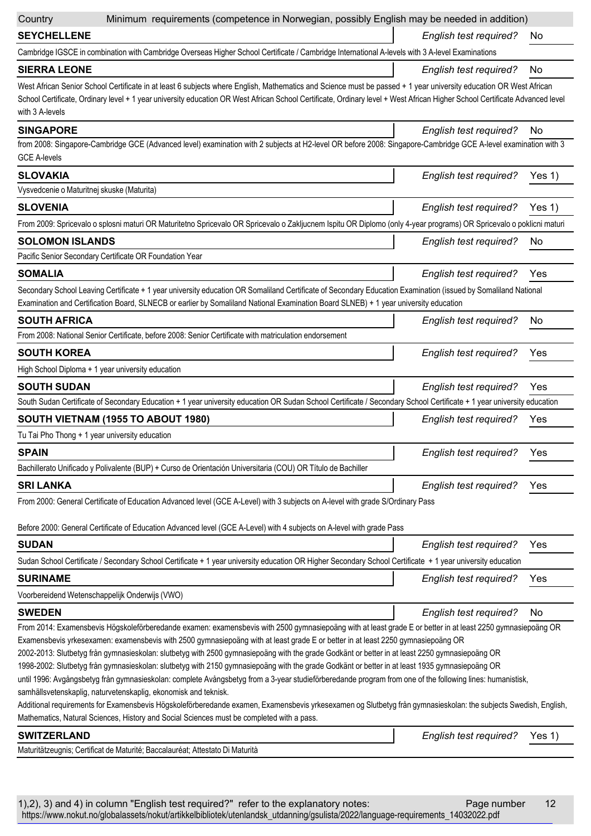| Country                                        | Minimum requirements (competence in Norwegian, possibly English may be needed in addition)                                                                                                                                                                                                                                                                                                                                                                                                                                                                                                                                                                                                                                                                                                                                                                                                                                                                                                             |                               |        |
|------------------------------------------------|--------------------------------------------------------------------------------------------------------------------------------------------------------------------------------------------------------------------------------------------------------------------------------------------------------------------------------------------------------------------------------------------------------------------------------------------------------------------------------------------------------------------------------------------------------------------------------------------------------------------------------------------------------------------------------------------------------------------------------------------------------------------------------------------------------------------------------------------------------------------------------------------------------------------------------------------------------------------------------------------------------|-------------------------------|--------|
| <b>SEYCHELLENE</b>                             |                                                                                                                                                                                                                                                                                                                                                                                                                                                                                                                                                                                                                                                                                                                                                                                                                                                                                                                                                                                                        | English test required?        | No.    |
|                                                | Cambridge IGSCE in combination with Cambridge Overseas Higher School Certificate / Cambridge International A-levels with 3 A-level Examinations                                                                                                                                                                                                                                                                                                                                                                                                                                                                                                                                                                                                                                                                                                                                                                                                                                                        |                               |        |
| <b>SIERRA LEONE</b>                            |                                                                                                                                                                                                                                                                                                                                                                                                                                                                                                                                                                                                                                                                                                                                                                                                                                                                                                                                                                                                        | English test required?        | No     |
| with 3 A-levels                                | West African Senior School Certificate in at least 6 subjects where English, Mathematics and Science must be passed + 1 year university education OR West African<br>School Certificate, Ordinary level + 1 year university education OR West African School Certificate, Ordinary level + West African Higher School Certificate Advanced level                                                                                                                                                                                                                                                                                                                                                                                                                                                                                                                                                                                                                                                       |                               |        |
| <b>SINGAPORE</b>                               |                                                                                                                                                                                                                                                                                                                                                                                                                                                                                                                                                                                                                                                                                                                                                                                                                                                                                                                                                                                                        | <b>English test required?</b> | No     |
| <b>GCE A-levels</b>                            | from 2008: Singapore-Cambridge GCE (Advanced level) examination with 2 subjects at H2-level OR before 2008: Singapore-Cambridge GCE A-level examination with 3                                                                                                                                                                                                                                                                                                                                                                                                                                                                                                                                                                                                                                                                                                                                                                                                                                         |                               |        |
| <b>SLOVAKIA</b>                                |                                                                                                                                                                                                                                                                                                                                                                                                                                                                                                                                                                                                                                                                                                                                                                                                                                                                                                                                                                                                        | <b>English test required?</b> | Yes 1) |
| Vysvedcenie o Maturitnej skuske (Maturita)     |                                                                                                                                                                                                                                                                                                                                                                                                                                                                                                                                                                                                                                                                                                                                                                                                                                                                                                                                                                                                        |                               |        |
| <b>SLOVENIA</b>                                |                                                                                                                                                                                                                                                                                                                                                                                                                                                                                                                                                                                                                                                                                                                                                                                                                                                                                                                                                                                                        | <b>English test required?</b> | Yes 1) |
|                                                | From 2009: Spricevalo o splosni maturi OR Maturitetno Spricevalo OR Spricevalo o Zakljucnem Ispitu OR Diplomo (only 4-year programs) OR Spricevalo o poklicni maturi                                                                                                                                                                                                                                                                                                                                                                                                                                                                                                                                                                                                                                                                                                                                                                                                                                   |                               |        |
| <b>SOLOMON ISLANDS</b>                         |                                                                                                                                                                                                                                                                                                                                                                                                                                                                                                                                                                                                                                                                                                                                                                                                                                                                                                                                                                                                        | <b>English test required?</b> | No     |
|                                                | Pacific Senior Secondary Certificate OR Foundation Year                                                                                                                                                                                                                                                                                                                                                                                                                                                                                                                                                                                                                                                                                                                                                                                                                                                                                                                                                |                               |        |
| <b>SOMALIA</b>                                 |                                                                                                                                                                                                                                                                                                                                                                                                                                                                                                                                                                                                                                                                                                                                                                                                                                                                                                                                                                                                        | <b>English test required?</b> | Yes    |
|                                                |                                                                                                                                                                                                                                                                                                                                                                                                                                                                                                                                                                                                                                                                                                                                                                                                                                                                                                                                                                                                        |                               |        |
|                                                | Secondary School Leaving Certificate + 1 year university education OR Somaliland Certificate of Secondary Education Examination (issued by Somaliland National<br>Examination and Certification Board, SLNECB or earlier by Somaliland National Examination Board SLNEB) + 1 year university education                                                                                                                                                                                                                                                                                                                                                                                                                                                                                                                                                                                                                                                                                                 |                               |        |
| <b>SOUTH AFRICA</b>                            |                                                                                                                                                                                                                                                                                                                                                                                                                                                                                                                                                                                                                                                                                                                                                                                                                                                                                                                                                                                                        | English test required?        | No     |
|                                                | From 2008: National Senior Certificate, before 2008: Senior Certificate with matriculation endorsement                                                                                                                                                                                                                                                                                                                                                                                                                                                                                                                                                                                                                                                                                                                                                                                                                                                                                                 |                               |        |
| <b>SOUTH KOREA</b>                             |                                                                                                                                                                                                                                                                                                                                                                                                                                                                                                                                                                                                                                                                                                                                                                                                                                                                                                                                                                                                        | <b>English test required?</b> | Yes    |
|                                                | High School Diploma + 1 year university education                                                                                                                                                                                                                                                                                                                                                                                                                                                                                                                                                                                                                                                                                                                                                                                                                                                                                                                                                      |                               |        |
| <b>SOUTH SUDAN</b>                             |                                                                                                                                                                                                                                                                                                                                                                                                                                                                                                                                                                                                                                                                                                                                                                                                                                                                                                                                                                                                        | <b>English test required?</b> | Yes    |
|                                                | South Sudan Certificate of Secondary Education + 1 year university education OR Sudan School Certificate / Secondary School Certificate + 1 year university education                                                                                                                                                                                                                                                                                                                                                                                                                                                                                                                                                                                                                                                                                                                                                                                                                                  |                               |        |
|                                                | SOUTH VIETNAM (1955 TO ABOUT 1980)                                                                                                                                                                                                                                                                                                                                                                                                                                                                                                                                                                                                                                                                                                                                                                                                                                                                                                                                                                     | <b>English test required?</b> | Yes    |
| Tu Tai Pho Thong + 1 year university education |                                                                                                                                                                                                                                                                                                                                                                                                                                                                                                                                                                                                                                                                                                                                                                                                                                                                                                                                                                                                        |                               |        |
| <b>SPAIN</b>                                   |                                                                                                                                                                                                                                                                                                                                                                                                                                                                                                                                                                                                                                                                                                                                                                                                                                                                                                                                                                                                        | English test required?        | Yes    |
|                                                | Bachillerato Unificado y Polivalente (BUP) + Curso de Orientación Universitaria (COU) OR Título de Bachiller                                                                                                                                                                                                                                                                                                                                                                                                                                                                                                                                                                                                                                                                                                                                                                                                                                                                                           |                               |        |
| <b>SRI LANKA</b>                               |                                                                                                                                                                                                                                                                                                                                                                                                                                                                                                                                                                                                                                                                                                                                                                                                                                                                                                                                                                                                        | English test required?        | Yes    |
|                                                | From 2000: General Certificate of Education Advanced level (GCE A-Level) with 3 subjects on A-level with grade S/Ordinary Pass                                                                                                                                                                                                                                                                                                                                                                                                                                                                                                                                                                                                                                                                                                                                                                                                                                                                         |                               |        |
|                                                | Before 2000: General Certificate of Education Advanced level (GCE A-Level) with 4 subjects on A-level with grade Pass                                                                                                                                                                                                                                                                                                                                                                                                                                                                                                                                                                                                                                                                                                                                                                                                                                                                                  |                               |        |
| <b>SUDAN</b>                                   |                                                                                                                                                                                                                                                                                                                                                                                                                                                                                                                                                                                                                                                                                                                                                                                                                                                                                                                                                                                                        | English test required?        | Yes    |
|                                                | Sudan School Certificate / Secondary School Certificate + 1 year university education OR Higher Secondary School Certificate + 1 year university education                                                                                                                                                                                                                                                                                                                                                                                                                                                                                                                                                                                                                                                                                                                                                                                                                                             |                               |        |
| <b>SURINAME</b>                                |                                                                                                                                                                                                                                                                                                                                                                                                                                                                                                                                                                                                                                                                                                                                                                                                                                                                                                                                                                                                        | <b>English test required?</b> | Yes    |
|                                                | Voorbereidend Wetenschappelijk Onderwijs (VWO)                                                                                                                                                                                                                                                                                                                                                                                                                                                                                                                                                                                                                                                                                                                                                                                                                                                                                                                                                         |                               |        |
| <b>SWEDEN</b>                                  |                                                                                                                                                                                                                                                                                                                                                                                                                                                                                                                                                                                                                                                                                                                                                                                                                                                                                                                                                                                                        | English test required?        | No     |
|                                                | From 2014: Examensbevis Högskoleförberedande examen: examensbevis with 2500 gymnasiepoäng with at least grade E or better in at least 2250 gymnasiepoäng OR<br>Examensbevis yrkesexamen: examensbevis with 2500 gymnasiepoäng with at least grade E or better in at least 2250 gymnasiepoäng OR<br>2002-2013: Slutbetyg från gymnasieskolan: slutbetyg with 2500 gymnasiepoäng with the grade Godkänt or better in at least 2250 gymnasiepoäng OR<br>1998-2002: Slutbetyg från gymnasieskolan: slutbetyg with 2150 gymnasiepoäng with the grade Godkänt or better in at least 1935 gymnasiepoäng OR<br>until 1996: Avgångsbetyg från gymnasieskolan: complete Avångsbetyg from a 3-year studieförberedande program from one of the following lines: humanistisk,<br>samhällsvetenskaplig, naturvetenskaplig, ekonomisk and teknisk.<br>Additional requirements for Examensbevis Högskoleförberedande examen, Examensbevis yrkesexamen og Slutbetyg från gymnasieskolan: the subjects Swedish, English, |                               |        |
|                                                | Mathematics, Natural Sciences, History and Social Sciences must be completed with a pass.                                                                                                                                                                                                                                                                                                                                                                                                                                                                                                                                                                                                                                                                                                                                                                                                                                                                                                              |                               |        |
| <b>SWITZERLAND</b>                             |                                                                                                                                                                                                                                                                                                                                                                                                                                                                                                                                                                                                                                                                                                                                                                                                                                                                                                                                                                                                        | English test required?        | Yes 1) |
|                                                | Maturitätzeugnis; Certificat de Maturité; Baccalauréat; Attestato Di Maturità                                                                                                                                                                                                                                                                                                                                                                                                                                                                                                                                                                                                                                                                                                                                                                                                                                                                                                                          |                               |        |
|                                                |                                                                                                                                                                                                                                                                                                                                                                                                                                                                                                                                                                                                                                                                                                                                                                                                                                                                                                                                                                                                        |                               |        |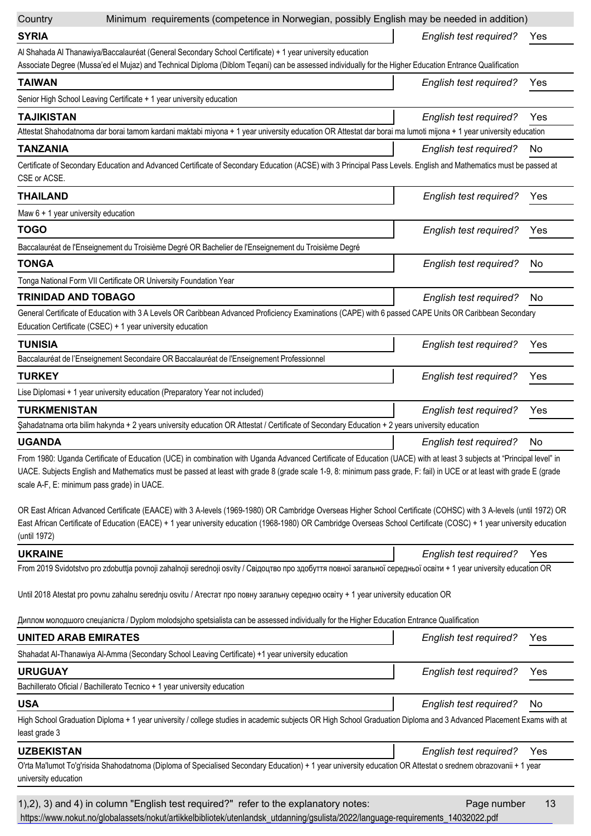| Country                                    | Minimum requirements (competence in Norwegian, possibly English may be needed in addition)                                                                                                                                                                                                                                                    |                        |     |
|--------------------------------------------|-----------------------------------------------------------------------------------------------------------------------------------------------------------------------------------------------------------------------------------------------------------------------------------------------------------------------------------------------|------------------------|-----|
| <b>SYRIA</b>                               |                                                                                                                                                                                                                                                                                                                                               | English test required? | Yes |
|                                            | Al Shahada Al Thanawiya/Baccalauréat (General Secondary School Certificate) + 1 year university education<br>Associate Degree (Mussa'ed el Mujaz) and Technical Diploma (Diblom Teqani) can be assessed individually for the Higher Education Entrance Qualification                                                                          |                        |     |
| <b>TAIWAN</b>                              |                                                                                                                                                                                                                                                                                                                                               | English test required? | Yes |
|                                            | Senior High School Leaving Certificate + 1 year university education                                                                                                                                                                                                                                                                          |                        |     |
| <b>TAJIKISTAN</b>                          |                                                                                                                                                                                                                                                                                                                                               | English test required? | Yes |
|                                            | Attestat Shahodatnoma dar borai tamom kardani maktabi miyona + 1 year university education OR Attestat dar borai ma lumoti mijona + 1 year university education                                                                                                                                                                               |                        |     |
| <b>TANZANIA</b>                            |                                                                                                                                                                                                                                                                                                                                               | English test required? | No  |
| CSE or ACSE.                               | Certificate of Secondary Education and Advanced Certificate of Secondary Education (ACSE) with 3 Principal Pass Levels. English and Mathematics must be passed at                                                                                                                                                                             |                        |     |
| <b>THAILAND</b>                            |                                                                                                                                                                                                                                                                                                                                               | English test required? | Yes |
| Maw $6 + 1$ year university education      |                                                                                                                                                                                                                                                                                                                                               |                        |     |
| <b>TOGO</b>                                |                                                                                                                                                                                                                                                                                                                                               | English test required? | Yes |
|                                            | Baccalauréat de l'Enseignement du Troisième Degré OR Bachelier de l'Enseignement du Troisième Degré                                                                                                                                                                                                                                           |                        |     |
| <b>TONGA</b>                               |                                                                                                                                                                                                                                                                                                                                               | English test required? | No  |
|                                            | Tonga National Form VII Certificate OR University Foundation Year                                                                                                                                                                                                                                                                             |                        |     |
| <b>TRINIDAD AND TOBAGO</b>                 |                                                                                                                                                                                                                                                                                                                                               | English test required? | No. |
|                                            | General Certificate of Education with 3 A Levels OR Caribbean Advanced Proficiency Examinations (CAPE) with 6 passed CAPE Units OR Caribbean Secondary<br>Education Certificate (CSEC) + 1 year university education                                                                                                                          |                        |     |
| <b>TUNISIA</b>                             |                                                                                                                                                                                                                                                                                                                                               | English test required? | Yes |
|                                            | Baccalauréat de l'Enseignement Secondaire OR Baccalauréat de l'Enseignement Professionnel                                                                                                                                                                                                                                                     |                        |     |
| <b>TURKEY</b>                              |                                                                                                                                                                                                                                                                                                                                               | English test required? | Yes |
|                                            | Lise Diplomasi + 1 year university education (Preparatory Year not included)                                                                                                                                                                                                                                                                  |                        |     |
| <b>TURKMENISTAN</b>                        |                                                                                                                                                                                                                                                                                                                                               | English test required? | Yes |
|                                            | Şahadatnama orta bilim hakynda + 2 years university education OR Attestat / Certificate of Secondary Education + 2 years university education                                                                                                                                                                                                 |                        |     |
| <b>UGANDA</b>                              |                                                                                                                                                                                                                                                                                                                                               | English test required? | No  |
| scale A-F, E: minimum pass grade) in UACE. | From 1980: Uganda Certificate of Education (UCE) in combination with Uganda Advanced Certificate of Education (UACE) with at least 3 subjects at "Principal level" in<br>UACE. Subjects English and Mathematics must be passed at least with grade 8 (grade scale 1-9, 8: minimum pass grade, F: fail) in UCE or at least with grade E (grade |                        |     |
| (until 1972)                               | OR East African Advanced Certificate (EAACE) with 3 A-levels (1969-1980) OR Cambridge Overseas Higher School Certificate (COHSC) with 3 A-levels (until 1972) OR<br>East African Certificate of Education (EACE) + 1 year university education (1968-1980) OR Cambridge Overseas School Certificate (COSC) + 1 year university education      |                        |     |
| <b>UKRAINE</b>                             |                                                                                                                                                                                                                                                                                                                                               | English test required? | Yes |
|                                            | From 2019 Svidotstvo pro zdobuttja povnoji zahalnoji serednoji osvity / Свідоцтво про здобуття повної загальної середньої освіти + 1 year university education OR                                                                                                                                                                             |                        |     |
|                                            | Until 2018 Atestat pro povnu zahalnu serednju osvitu / Атестат про повну загальну середню освіту + 1 year university education OR                                                                                                                                                                                                             |                        |     |
|                                            | Диплом молодшого спеціаліста / Dyplom molodsjoho spetsialista can be assessed individually for the Higher Education Entrance Qualification                                                                                                                                                                                                    |                        |     |
| <b>UNITED ARAB EMIRATES</b>                |                                                                                                                                                                                                                                                                                                                                               | English test required? | Yes |
|                                            | Shahadat Al-Thanawiya Al-Amma (Secondary School Leaving Certificate) +1 year university education                                                                                                                                                                                                                                             |                        |     |
| <b>URUGUAY</b>                             |                                                                                                                                                                                                                                                                                                                                               | English test required? | Yes |
|                                            | Bachillerato Oficial / Bachillerato Tecnico + 1 year university education                                                                                                                                                                                                                                                                     |                        |     |
| <b>USA</b>                                 |                                                                                                                                                                                                                                                                                                                                               | English test required? | No  |
| least grade 3                              | High School Graduation Diploma + 1 year university / college studies in academic subjects OR High School Graduation Diploma and 3 Advanced Placement Exams with at                                                                                                                                                                            |                        |     |
| <b>UZBEKISTAN</b>                          |                                                                                                                                                                                                                                                                                                                                               | English test required? | Yes |
| university education                       | O'rta Ma'lumot To'g'risida Shahodatnoma (Diploma of Specialised Secondary Education) + 1 year university education OR Attestat o srednem obrazovanii + 1 year                                                                                                                                                                                 |                        |     |
|                                            | 1), 2), 3) and 4) in column "English test required?" refer to the explanatory notes:<br>https://www.nokut.no/globalassets/nokut/artikkelbibliotek/utenlandsk_utdanning/gsulista/2022/language-requirements_14032022.pdf                                                                                                                       | Page number            | 13  |